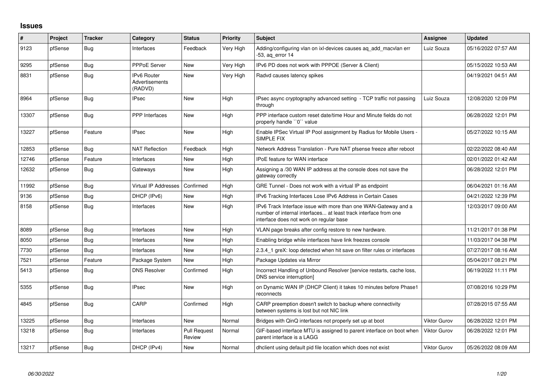## **Issues**

| $\vert$ # | Project | <b>Tracker</b> | Category                                 | <b>Status</b>                 | <b>Priority</b> | <b>Subject</b>                                                                                                                                                                | Assignee            | <b>Updated</b>      |
|-----------|---------|----------------|------------------------------------------|-------------------------------|-----------------|-------------------------------------------------------------------------------------------------------------------------------------------------------------------------------|---------------------|---------------------|
| 9123      | pfSense | Bug            | Interfaces                               | Feedback                      | Very High       | Adding/configuring vlan on ixl-devices causes ag add macvlan err<br>-53, ag error 14                                                                                          | Luiz Souza          | 05/16/2022 07:57 AM |
| 9295      | pfSense | Bug            | PPPoE Server                             | <b>New</b>                    | Very High       | IPv6 PD does not work with PPPOE (Server & Client)                                                                                                                            |                     | 05/15/2022 10:53 AM |
| 8831      | pfSense | <b>Bug</b>     | IPv6 Router<br>Advertisements<br>(RADVD) | New                           | Very High       | Radvd causes latency spikes                                                                                                                                                   |                     | 04/19/2021 04:51 AM |
| 8964      | pfSense | <b>Bug</b>     | <b>IPsec</b>                             | New                           | High            | IPsec async cryptography advanced setting - TCP traffic not passing<br>through                                                                                                | Luiz Souza          | 12/08/2020 12:09 PM |
| 13307     | pfSense | Bug            | <b>PPP</b> Interfaces                    | <b>New</b>                    | High            | PPP interface custom reset date/time Hour and Minute fields do not<br>properly handle "0" value                                                                               |                     | 06/28/2022 12:01 PM |
| 13227     | pfSense | Feature        | <b>IPsec</b>                             | <b>New</b>                    | High            | Enable IPSec Virtual IP Pool assignment by Radius for Mobile Users -<br>SIMPLE FIX                                                                                            |                     | 05/27/2022 10:15 AM |
| 12853     | pfSense | Bug            | <b>NAT Reflection</b>                    | Feedback                      | High            | Network Address Translation - Pure NAT pfsense freeze after reboot                                                                                                            |                     | 02/22/2022 08:40 AM |
| 12746     | pfSense | Feature        | Interfaces                               | <b>New</b>                    | High            | <b>IPoE</b> feature for WAN interface                                                                                                                                         |                     | 02/01/2022 01:42 AM |
| 12632     | pfSense | <b>Bug</b>     | Gateways                                 | <b>New</b>                    | High            | Assigning a /30 WAN IP address at the console does not save the<br>gateway correctly                                                                                          |                     | 06/28/2022 12:01 PM |
| 11992     | pfSense | Bug            | Virtual IP Addresses                     | Confirmed                     | High            | GRE Tunnel - Does not work with a virtual IP as endpoint                                                                                                                      |                     | 06/04/2021 01:16 AM |
| 9136      | pfSense | <b>Bug</b>     | DHCP (IPv6)                              | New                           | High            | IPv6 Tracking Interfaces Lose IPv6 Address in Certain Cases                                                                                                                   |                     | 04/21/2022 12:39 PM |
| 8158      | pfSense | Bug            | Interfaces                               | New                           | High            | IPv6 Track Interface issue with more than one WAN-Gateway and a<br>number of internal interfaces at least track interface from one<br>interface does not work on regular base |                     | 12/03/2017 09:00 AM |
| 8089      | pfSense | <b>Bug</b>     | Interfaces                               | New                           | High            | VLAN page breaks after config restore to new hardware.                                                                                                                        |                     | 11/21/2017 01:38 PM |
| 8050      | pfSense | Bug            | Interfaces                               | <b>New</b>                    | High            | Enabling bridge while interfaces have link freezes console                                                                                                                    |                     | 11/03/2017 04:38 PM |
| 7730      | pfSense | <b>Bug</b>     | Interfaces                               | New                           | High            | 2.3.4 1 greX: loop detected when hit save on filter rules or interfaces                                                                                                       |                     | 07/27/2017 08:16 AM |
| 7521      | pfSense | Feature        | Package System                           | New                           | High            | Package Updates via Mirror                                                                                                                                                    |                     | 05/04/2017 08:21 PM |
| 5413      | pfSense | <b>Bug</b>     | <b>DNS Resolver</b>                      | Confirmed                     | High            | Incorrect Handling of Unbound Resolver [service restarts, cache loss,<br>DNS service interruption]                                                                            |                     | 06/19/2022 11:11 PM |
| 5355      | pfSense | <b>Bug</b>     | <b>IPsec</b>                             | New                           | High            | on Dynamic WAN IP (DHCP Client) it takes 10 minutes before Phase1<br>reconnects                                                                                               |                     | 07/08/2016 10:29 PM |
| 4845      | pfSense | <b>Bug</b>     | CARP                                     | Confirmed                     | High            | CARP preemption doesn't switch to backup where connectivity<br>between systems is lost but not NIC link                                                                       |                     | 07/28/2015 07:55 AM |
| 13225     | pfSense | <b>Bug</b>     | Interfaces                               | <b>New</b>                    | Normal          | Bridges with QinQ interfaces not properly set up at boot                                                                                                                      | <b>Viktor Gurov</b> | 06/28/2022 12:01 PM |
| 13218     | pfSense | <b>Bug</b>     | Interfaces                               | <b>Pull Request</b><br>Review | Normal          | GIF-based interface MTU is assigned to parent interface on boot when<br>parent interface is a LAGG                                                                            | Viktor Gurov        | 06/28/2022 12:01 PM |
| 13217     | pfSense | <b>Bug</b>     | DHCP (IPv4)                              | New                           | Normal          | dhclient using default pid file location which does not exist                                                                                                                 | <b>Viktor Gurov</b> | 05/26/2022 08:09 AM |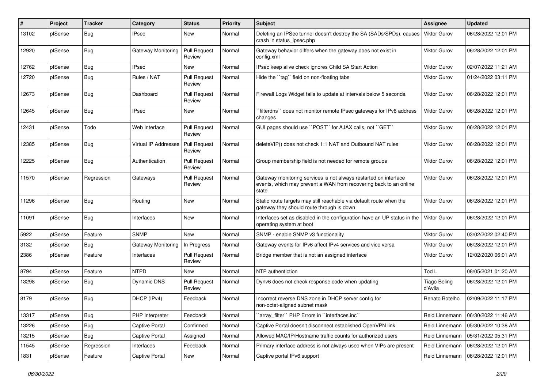| #     | Project | <b>Tracker</b> | Category             | <b>Status</b>                 | <b>Priority</b> | <b>Subject</b>                                                                                                                                 | Assignee                       | <b>Updated</b>      |
|-------|---------|----------------|----------------------|-------------------------------|-----------------|------------------------------------------------------------------------------------------------------------------------------------------------|--------------------------------|---------------------|
| 13102 | pfSense | <b>Bug</b>     | IPsec                | New                           | Normal          | Deleting an IPSec tunnel doesn't destroy the SA (SADs/SPDs), causes<br>crash in status_ipsec.php                                               | <b>Viktor Gurov</b>            | 06/28/2022 12:01 PM |
| 12920 | pfSense | <b>Bug</b>     | Gateway Monitoring   | <b>Pull Request</b><br>Review | Normal          | Gateway behavior differs when the gateway does not exist in<br>config.xml                                                                      | Viktor Gurov                   | 06/28/2022 12:01 PM |
| 12762 | pfSense | Bug            | <b>IPsec</b>         | New                           | Normal          | IPsec keep alive check ignores Child SA Start Action                                                                                           | <b>Viktor Gurov</b>            | 02/07/2022 11:21 AM |
| 12720 | pfSense | <b>Bug</b>     | Rules / NAT          | <b>Pull Request</b><br>Review | Normal          | Hide the "tag" field on non-floating tabs                                                                                                      | Viktor Gurov                   | 01/24/2022 03:11 PM |
| 12673 | pfSense | <b>Bug</b>     | Dashboard            | <b>Pull Request</b><br>Review | Normal          | Firewall Logs Widget fails to update at intervals below 5 seconds.                                                                             | Viktor Gurov                   | 06/28/2022 12:01 PM |
| 12645 | pfSense | <b>Bug</b>     | <b>IPsec</b>         | New                           | Normal          | `filterdns`` does not monitor remote IPsec gateways for IPv6 address<br>changes                                                                | Viktor Gurov                   | 06/28/2022 12:01 PM |
| 12431 | pfSense | Todo           | Web Interface        | <b>Pull Request</b><br>Review | Normal          | GUI pages should use "POST" for AJAX calls, not "GET"                                                                                          | <b>Viktor Gurov</b>            | 06/28/2022 12:01 PM |
| 12385 | pfSense | <b>Bug</b>     | Virtual IP Addresses | <b>Pull Request</b><br>Review | Normal          | deleteVIP() does not check 1:1 NAT and Outbound NAT rules                                                                                      | Viktor Gurov                   | 06/28/2022 12:01 PM |
| 12225 | pfSense | <b>Bug</b>     | Authentication       | <b>Pull Request</b><br>Review | Normal          | Group membership field is not needed for remote groups                                                                                         | Viktor Gurov                   | 06/28/2022 12:01 PM |
| 11570 | pfSense | Regression     | Gateways             | <b>Pull Request</b><br>Review | Normal          | Gateway monitoring services is not always restarted on interface<br>events, which may prevent a WAN from recovering back to an online<br>state | <b>Viktor Gurov</b>            | 06/28/2022 12:01 PM |
| 11296 | pfSense | <b>Bug</b>     | Routing              | New                           | Normal          | Static route targets may still reachable via default route when the<br>gateway they should route through is down                               | <b>Viktor Gurov</b>            | 06/28/2022 12:01 PM |
| 11091 | pfSense | <b>Bug</b>     | Interfaces           | New                           | Normal          | Interfaces set as disabled in the configuration have an UP status in the<br>operating system at boot                                           | <b>Viktor Gurov</b>            | 06/28/2022 12:01 PM |
| 5922  | pfSense | Feature        | <b>SNMP</b>          | New                           | Normal          | SNMP - enable SNMP v3 functionality                                                                                                            | <b>Viktor Gurov</b>            | 03/02/2022 02:40 PM |
| 3132  | pfSense | <b>Bug</b>     | Gateway Monitoring   | In Progress                   | Normal          | Gateway events for IPv6 affect IPv4 services and vice versa                                                                                    | Viktor Gurov                   | 06/28/2022 12:01 PM |
| 2386  | pfSense | Feature        | Interfaces           | <b>Pull Request</b><br>Review | Normal          | Bridge member that is not an assigned interface                                                                                                | Viktor Gurov                   | 12/02/2020 06:01 AM |
| 8794  | pfSense | Feature        | <b>NTPD</b>          | New                           | Normal          | NTP authentiction                                                                                                                              | Tod L                          | 08/05/2021 01:20 AM |
| 13298 | pfSense | <b>Bug</b>     | <b>Dynamic DNS</b>   | <b>Pull Request</b><br>Review | Normal          | Dynv6 does not check response code when updating                                                                                               | <b>Tiago Beling</b><br>d'Avila | 06/28/2022 12:01 PM |
| 8179  | pfSense | <b>Bug</b>     | DHCP (IPv4)          | Feedback                      | Normal          | Incorrect reverse DNS zone in DHCP server config for<br>non-octet-aligned subnet mask                                                          | Renato Botelho                 | 02/09/2022 11:17 PM |
| 13317 | pfSense | <b>Bug</b>     | PHP Interpreter      | Feedback                      | Normal          | 'array_filter'' PHP Errors in ''interfaces.inc''                                                                                               | Reid Linnemann                 | 06/30/2022 11:46 AM |
| 13226 | pfSense | <b>Bug</b>     | Captive Portal       | Confirmed                     | Normal          | Captive Portal doesn't disconnect established OpenVPN link                                                                                     | Reid Linnemann                 | 05/30/2022 10:38 AM |
| 13215 | pfSense | Bug            | Captive Portal       | Assigned                      | Normal          | Allowed MAC/IP/Hostname traffic counts for authorized users                                                                                    | Reid Linnemann                 | 05/31/2022 05:31 PM |
| 11545 | pfSense | Regression     | Interfaces           | Feedback                      | Normal          | Primary interface address is not always used when VIPs are present                                                                             | Reid Linnemann                 | 06/28/2022 12:01 PM |
| 1831  | pfSense | Feature        | Captive Portal       | New                           | Normal          | Captive portal IPv6 support                                                                                                                    | Reid Linnemann                 | 06/28/2022 12:01 PM |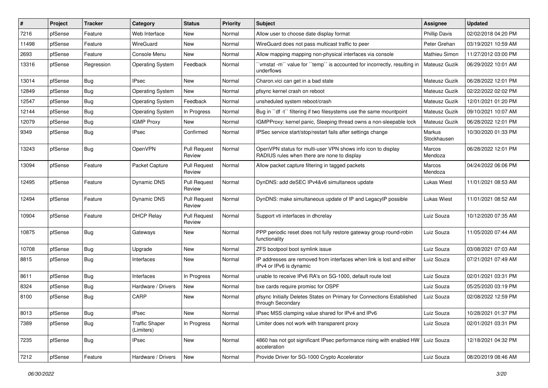| $\#$  | Project | <b>Tracker</b> | Category                            | <b>Status</b>                 | Priority | <b>Subject</b>                                                                                              | Assignee              | <b>Updated</b>      |
|-------|---------|----------------|-------------------------------------|-------------------------------|----------|-------------------------------------------------------------------------------------------------------------|-----------------------|---------------------|
| 7216  | pfSense | Feature        | Web Interface                       | New                           | Normal   | Allow user to choose date display format                                                                    | <b>Phillip Davis</b>  | 02/02/2018 04:20 PM |
| 11498 | pfSense | Feature        | WireGuard                           | <b>New</b>                    | Normal   | WireGuard does not pass multicast traffic to peer                                                           | Peter Grehan          | 03/19/2021 10:59 AM |
| 2693  | pfSense | Feature        | Console Menu                        | New                           | Normal   | Allow mapping mapping non-physical interfaces via console                                                   | Mathieu Simon         | 11/27/2012 03:00 PM |
| 13316 | pfSense | Regression     | <b>Operating System</b>             | Feedback                      | Normal   | 'vmstat -m'' value for ''temp'' is accounted for incorrectly, resulting in<br>underflows                    | Mateusz Guzik         | 06/29/2022 10:01 AM |
| 13014 | pfSense | Bug            | <b>IPsec</b>                        | <b>New</b>                    | Normal   | Charon.vici can get in a bad state                                                                          | <b>Mateusz Guzik</b>  | 06/28/2022 12:01 PM |
| 12849 | pfSense | Bug            | <b>Operating System</b>             | New                           | Normal   | pfsync kernel crash on reboot                                                                               | <b>Mateusz Guzik</b>  | 02/22/2022 02:02 PM |
| 12547 | pfSense | Bug            | <b>Operating System</b>             | Feedback                      | Normal   | unsheduled system reboot/crash                                                                              | <b>Mateusz Guzik</b>  | 12/01/2021 01:20 PM |
| 12144 | pfSense | Bug            | <b>Operating System</b>             | In Progress                   | Normal   | Bug in "df -t" filtering if two filesystems use the same mountpoint                                         | Mateusz Guzik         | 09/10/2021 10:07 AM |
| 12079 | pfSense | <b>Bug</b>     | <b>IGMP Proxy</b>                   | New                           | Normal   | IGMPProxy: kernel panic, Sleeping thread owns a non-sleepable lock                                          | Mateusz Guzik         | 06/28/2022 12:01 PM |
| 9349  | pfSense | Bug            | <b>IPsec</b>                        | Confirmed                     | Normal   | IPSec service start/stop/restart fails after settings change                                                | Markus<br>Stockhausen | 10/30/2020 01:33 PM |
| 13243 | pfSense | Bug            | OpenVPN                             | <b>Pull Request</b><br>Review | Normal   | OpenVPN status for multi-user VPN shows info icon to display<br>RADIUS rules when there are none to display | Marcos<br>Mendoza     | 06/28/2022 12:01 PM |
| 13094 | pfSense | Feature        | Packet Capture                      | <b>Pull Request</b><br>Review | Normal   | Allow packet capture filtering in tagged packets                                                            | Marcos<br>Mendoza     | 04/24/2022 06:06 PM |
| 12495 | pfSense | Feature        | <b>Dynamic DNS</b>                  | <b>Pull Request</b><br>Review | Normal   | DynDNS: add deSEC IPv4&v6 simultaneos update                                                                | <b>Lukas Wiest</b>    | 11/01/2021 08:53 AM |
| 12494 | pfSense | Feature        | Dynamic DNS                         | <b>Pull Request</b><br>Review | Normal   | DynDNS: make simultaneous update of IP and LegacyIP possible                                                | Lukas Wiest           | 11/01/2021 08:52 AM |
| 10904 | pfSense | Feature        | <b>DHCP Relay</b>                   | <b>Pull Request</b><br>Review | Normal   | Support vti interfaces in dhcrelay                                                                          | Luiz Souza            | 10/12/2020 07:35 AM |
| 10875 | pfSense | Bug            | Gateways                            | New                           | Normal   | PPP periodic reset does not fully restore gateway group round-robin<br>functionality                        | Luiz Souza            | 11/05/2020 07:44 AM |
| 10708 | pfSense | <b>Bug</b>     | Upgrade                             | New                           | Normal   | ZFS bootpool boot symlink issue                                                                             | Luiz Souza            | 03/08/2021 07:03 AM |
| 8815  | pfSense | <b>Bug</b>     | Interfaces                          | New                           | Normal   | IP addresses are removed from interfaces when link is lost and either<br>IPv4 or IPv6 is dynamic            | Luiz Souza            | 07/21/2021 07:49 AM |
| 8611  | pfSense | <b>Bug</b>     | Interfaces                          | In Progress                   | Normal   | unable to receive IPv6 RA's on SG-1000, default route lost                                                  | Luiz Souza            | 02/01/2021 03:31 PM |
| 8324  | pfSense | <b>Bug</b>     | Hardware / Drivers                  | <b>New</b>                    | Normal   | bxe cards require promisc for OSPF                                                                          | Luiz Souza            | 05/25/2020 03:19 PM |
| 8100  | pfSense | <b>Bug</b>     | CARP                                | New                           | Normal   | pfsync Initially Deletes States on Primary for Connections Established<br>through Secondary                 | Luiz Souza            | 02/08/2022 12:59 PM |
| 8013  | pfSense | Bug            | <b>IPsec</b>                        | New                           | Normal   | IPsec MSS clamping value shared for IPv4 and IPv6                                                           | Luiz Souza            | 10/28/2021 01:37 PM |
| 7389  | pfSense | <b>Bug</b>     | <b>Traffic Shaper</b><br>(Limiters) | In Progress                   | Normal   | Limiter does not work with transparent proxy                                                                | Luiz Souza            | 02/01/2021 03:31 PM |
| 7235  | pfSense | <b>Bug</b>     | <b>IPsec</b>                        | New                           | Normal   | 4860 has not got significant IPsec performance rising with enabled HW   Luiz Souza<br>acceleration          |                       | 12/18/2021 04:32 PM |
| 7212  | pfSense | Feature        | Hardware / Drivers                  | New                           | Normal   | Provide Driver for SG-1000 Crypto Accelerator                                                               | Luiz Souza            | 08/20/2019 08:46 AM |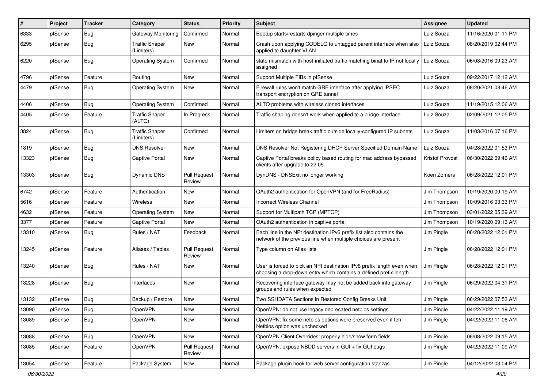| #     | Project | <b>Tracker</b> | Category                            | <b>Status</b>                 | <b>Priority</b> | <b>Subject</b>                                                                                                                              | Assignee               | <b>Updated</b>      |
|-------|---------|----------------|-------------------------------------|-------------------------------|-----------------|---------------------------------------------------------------------------------------------------------------------------------------------|------------------------|---------------------|
| 6333  | pfSense | <b>Bug</b>     | <b>Gateway Monitoring</b>           | Confirmed                     | Normal          | Bootup starts/restarts dpinger multiple times                                                                                               | Luiz Souza             | 11/16/2020 01:11 PM |
| 6295  | pfSense | <b>Bug</b>     | <b>Traffic Shaper</b><br>(Limiters) | New                           | Normal          | Crash upon applying CODELQ to untagged parent interface when also<br>applied to daughter VLAN                                               | Luiz Souza             | 08/20/2019 02:44 PM |
| 6220  | pfSense | <b>Bug</b>     | <b>Operating System</b>             | Confirmed                     | Normal          | state mismatch with host-initiated traffic matching binat to IP not locally<br>assigned                                                     | Luiz Souza             | 06/08/2016 09:23 AM |
| 4796  | pfSense | Feature        | Routing                             | New                           | Normal          | Support Multiple FIBs in pfSense                                                                                                            | Luiz Souza             | 09/22/2017 12:12 AM |
| 4479  | pfSense | <b>Bug</b>     | <b>Operating System</b>             | New                           | Normal          | Firewall rules won't match GRE interface after applying IPSEC<br>transport encryption on GRE tunnel                                         | Luiz Souza             | 08/20/2021 08:46 AM |
| 4406  | pfSense | <b>Bug</b>     | <b>Operating System</b>             | Confirmed                     | Normal          | ALTQ problems with wireless cloned interfaces                                                                                               | Luiz Souza             | 11/19/2015 12:06 AM |
| 4405  | pfSense | Feature        | <b>Traffic Shaper</b><br>(ALTQ)     | In Progress                   | Normal          | Traffic shaping doesn't work when applied to a bridge interface                                                                             | Luiz Souza             | 02/09/2021 12:05 PM |
| 3824  | pfSense | <b>Bug</b>     | <b>Traffic Shaper</b><br>(Limiters) | Confirmed                     | Normal          | Limiters on bridge break traffic outside locally-configured IP subnets                                                                      | Luiz Souza             | 11/03/2016 07:16 PM |
| 1819  | pfSense | <b>Bug</b>     | <b>DNS Resolver</b>                 | New                           | Normal          | DNS Resolver Not Registering DHCP Server Specified Domain Name                                                                              | Luiz Souza             | 04/28/2022 01:53 PM |
| 13323 | pfSense | <b>Bug</b>     | <b>Captive Portal</b>               | New                           | Normal          | Captive Portal breaks policy based routing for mac address bypassed<br>clients after upgrade to 22.05                                       | <b>Kristof Provost</b> | 06/30/2022 09:46 AM |
| 13303 | pfSense | <b>Bug</b>     | Dynamic DNS                         | <b>Pull Request</b><br>Review | Normal          | DynDNS - DNSExit no longer working                                                                                                          | Koen Zomers            | 06/28/2022 12:01 PM |
| 6742  | pfSense | Feature        | Authentication                      | <b>New</b>                    | Normal          | OAuth2 authentication for OpenVPN (and for FreeRadius)                                                                                      | Jim Thompson           | 10/19/2020 09:19 AM |
| 5616  | pfSense | Feature        | <b>Wireless</b>                     | New                           | Normal          | <b>Incorrect Wireless Channel</b>                                                                                                           | Jim Thompson           | 10/09/2016 03:33 PM |
| 4632  | pfSense | Feature        | <b>Operating System</b>             | New                           | Normal          | Support for Multipath TCP (MPTCP)                                                                                                           | Jim Thompson           | 03/01/2022 05:39 AM |
| 3377  | pfSense | Feature        | Captive Portal                      | New                           | Normal          | OAuth2 authentication in captive portal                                                                                                     | Jim Thompson           | 10/19/2020 09:13 AM |
| 13310 | pfSense | <b>Bug</b>     | Rules / NAT                         | Feedback                      | Normal          | Each line in the NPt destination IPv6 prefix list also contains the<br>network of the previous line when multiple choices are present       | Jim Pingle             | 06/28/2022 12:01 PM |
| 13245 | pfSense | Feature        | Aliases / Tables                    | <b>Pull Request</b><br>Review | Normal          | Type column on Alias lists                                                                                                                  | Jim Pingle             | 06/28/2022 12:01 PM |
| 13240 | pfSense | <b>Bug</b>     | Rules / NAT                         | <b>New</b>                    | Normal          | User is forced to pick an NPt destination IPv6 prefix length even when<br>choosing a drop-down entry which contains a defined prefix length | Jim Pingle             | 06/28/2022 12:01 PM |
| 13228 | pfSense | <b>Bug</b>     | Interfaces                          | New                           | Normal          | Recovering interface gateway may not be added back into gateway<br>groups and rules when expected                                           | Jim Pingle             | 06/29/2022 04:31 PM |
| 13132 | pfSense | <b>Bug</b>     | Backup / Restore                    | New                           | Normal          | Two SSHDATA Sections in Restored Config Breaks Unit                                                                                         | Jim Pingle             | 06/29/2022 07:53 AM |
| 13090 | pfSense | <b>Bug</b>     | OpenVPN                             | New                           | Normal          | OpenVPN: do not use legacy deprecated netbios settings                                                                                      | Jim Pingle             | 04/22/2022 11:19 AM |
| 13089 | pfSense | Bug            | OpenVPN                             | New                           | Normal          | OpenVPN: fix some netbios options were preserved even if teh<br>Netbios option was unchecked                                                | Jim Pingle             | 04/22/2022 11:06 AM |
| 13088 | pfSense | Bug            | OpenVPN                             | New                           | Normal          | OpenVPN Client Overrides: properly hide/show form fields                                                                                    | Jim Pingle             | 06/08/2022 09:15 AM |
| 13085 | pfSense | Feature        | OpenVPN                             | <b>Pull Request</b><br>Review | Normal          | OpenVPN: expose NBDD servers in GUI + fix GUI bugs                                                                                          | Jim Pingle             | 04/22/2022 11:09 AM |
| 13054 | pfSense | Feature        | Package System                      | New                           | Normal          | Package plugin hook for web server configuration stanzas                                                                                    | Jim Pingle             | 04/12/2022 03:04 PM |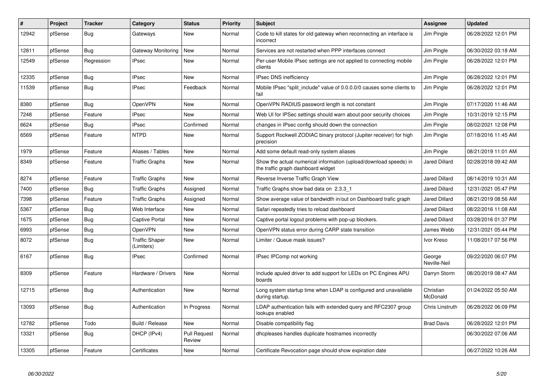| #     | Project | <b>Tracker</b> | Category                            | <b>Status</b>                 | <b>Priority</b> | <b>Subject</b>                                                                                          | Assignee               | <b>Updated</b>      |
|-------|---------|----------------|-------------------------------------|-------------------------------|-----------------|---------------------------------------------------------------------------------------------------------|------------------------|---------------------|
| 12942 | pfSense | <b>Bug</b>     | Gateways                            | New                           | Normal          | Code to kill states for old gateway when reconnecting an interface is<br>incorrect                      | Jim Pingle             | 06/28/2022 12:01 PM |
| 12811 | pfSense | Bug            | Gateway Monitoring                  | New                           | Normal          | Services are not restarted when PPP interfaces connect                                                  | Jim Pingle             | 06/30/2022 03:18 AM |
| 12549 | pfSense | Regression     | <b>IPsec</b>                        | <b>New</b>                    | Normal          | Per-user Mobile IPsec settings are not applied to connecting mobile<br>clients                          | Jim Pingle             | 06/28/2022 12:01 PM |
| 12335 | pfSense | <b>Bug</b>     | <b>IPsec</b>                        | New                           | Normal          | <b>IPsec DNS inefficiency</b>                                                                           | Jim Pingle             | 06/28/2022 12:01 PM |
| 11539 | pfSense | Bug            | <b>IPsec</b>                        | Feedback                      | Normal          | Mobile IPsec "split include" value of 0.0.0.0/0 causes some clients to<br>fail                          | Jim Pingle             | 06/28/2022 12:01 PM |
| 8380  | pfSense | <b>Bug</b>     | <b>OpenVPN</b>                      | New                           | Normal          | OpenVPN RADIUS password length is not constant                                                          | Jim Pingle             | 07/17/2020 11:46 AM |
| 7248  | pfSense | Feature        | IPsec                               | New                           | Normal          | Web UI for IPSec settings should warn about poor security choices                                       | Jim Pingle             | 10/31/2019 12:15 PM |
| 6624  | pfSense | Bug            | <b>IPsec</b>                        | Confirmed                     | Normal          | changes in IPsec config should down the connection                                                      | Jim Pingle             | 08/02/2021 12:08 PM |
| 6569  | pfSense | Feature        | <b>NTPD</b>                         | New                           | Normal          | Support Rockwell ZODIAC binary protocol (Jupiter receiver) for high<br>precision                        | Jim Pingle             | 07/18/2016 11:45 AM |
| 1979  | pfSense | Feature        | Aliases / Tables                    | New                           | Normal          | Add some default read-only system aliases                                                               | Jim Pingle             | 08/21/2019 11:01 AM |
| 8349  | pfSense | Feature        | Traffic Graphs                      | New                           | Normal          | Show the actual numerical information (upload/download speeds) in<br>the traffic graph dashboard widget | Jared Dillard          | 02/28/2018 09:42 AM |
| 8274  | pfSense | Feature        | <b>Traffic Graphs</b>               | New                           | Normal          | Reverse Inverse Traffic Graph View                                                                      | <b>Jared Dillard</b>   | 08/14/2019 10:31 AM |
| 7400  | pfSense | Bug            | <b>Traffic Graphs</b>               | Assigned                      | Normal          | Traffic Graphs show bad data on 2.3.3 1                                                                 | <b>Jared Dillard</b>   | 12/31/2021 05:47 PM |
| 7398  | pfSense | Feature        | Traffic Graphs                      | Assigned                      | Normal          | Show average value of bandwidth in/out on Dashboard trafic graph                                        | Jared Dillard          | 08/21/2019 08:56 AM |
| 5367  | pfSense | Bug            | Web Interface                       | New                           | Normal          | Safari repeatedly tries to reload dashboard                                                             | Jared Dillard          | 08/22/2016 11:08 AM |
| 1675  | pfSense | <b>Bug</b>     | Captive Portal                      | New                           | Normal          | Captive portal logout problems with pop-up blockers.                                                    | Jared Dillard          | 03/28/2016 01:37 PM |
| 6993  | pfSense | Bug            | <b>OpenVPN</b>                      | New                           | Normal          | OpenVPN status error during CARP state transition                                                       | James Webb             | 12/31/2021 05:44 PM |
| 8072  | pfSense | <b>Bug</b>     | <b>Traffic Shaper</b><br>(Limiters) | New                           | Normal          | Limiter / Queue mask issues?                                                                            | Ivor Kreso             | 11/08/2017 07:56 PM |
| 6167  | pfSense | Bug            | <b>IPsec</b>                        | Confirmed                     | Normal          | IPsec IPComp not working                                                                                | George<br>Neville-Neil | 09/22/2020 06:07 PM |
| 8309  | pfSense | Feature        | Hardware / Drivers                  | New                           | Normal          | Include apuled driver to add support for LEDs on PC Engines APU<br>boards                               | Darryn Storm           | 08/20/2019 08:47 AM |
| 12715 | pfSense | Bug            | Authentication                      | New                           | Normal          | Long system startup time when LDAP is configured and unavailable<br>during startup.                     | Christian<br>McDonald  | 01/24/2022 05:50 AM |
| 13093 | pfSense | Bug            | Authentication                      | In Progress                   | Normal          | LDAP authentication fails with extended query and RFC2307 group<br>lookups enabled                      | Chris Linstruth        | 06/28/2022 06:09 PM |
| 12782 | pfSense | Todo           | Build / Release                     | New                           | Normal          | Disable compatibility flag                                                                              | <b>Brad Davis</b>      | 06/28/2022 12:01 PM |
| 13321 | pfSense | <b>Bug</b>     | DHCP (IPv4)                         | <b>Pull Request</b><br>Review | Normal          | dhcpleases handles duplicate hostnames incorrectly                                                      |                        | 06/30/2022 07:06 AM |
| 13305 | pfSense | Feature        | Certificates                        | New                           | Normal          | Certificate Revocation page should show expiration date                                                 |                        | 06/27/2022 10:26 AM |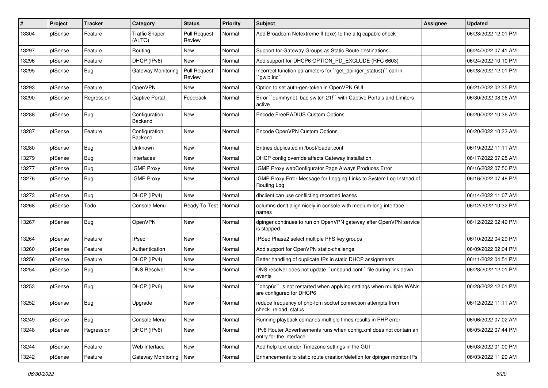| $\#$  | Project | <b>Tracker</b> | Category                        | <b>Status</b>                 | <b>Priority</b> | <b>Subject</b>                                                                                  | <b>Assignee</b> | <b>Updated</b>      |
|-------|---------|----------------|---------------------------------|-------------------------------|-----------------|-------------------------------------------------------------------------------------------------|-----------------|---------------------|
| 13304 | pfSense | Feature        | <b>Traffic Shaper</b><br>(ALTQ) | <b>Pull Request</b><br>Review | Normal          | Add Broadcom Netextreme II (bxe) to the altg capable check                                      |                 | 06/28/2022 12:01 PM |
| 13297 | pfSense | Feature        | Routing                         | New                           | Normal          | Support for Gateway Groups as Static Route destinations                                         |                 | 06/24/2022 07:41 AM |
| 13296 | pfSense | Feature        | DHCP (IPv6)                     | New                           | Normal          | Add support for DHCP6 OPTION PD EXCLUDE (RFC 6603)                                              |                 | 06/24/2022 10:10 PM |
| 13295 | pfSense | <b>Bug</b>     | <b>Gateway Monitoring</b>       | <b>Pull Request</b><br>Review | Normal          | Incorrect function parameters for "get_dpinger_status()" call in<br>`qwlb.inc``                 |                 | 06/28/2022 12:01 PM |
| 13293 | pfSense | Feature        | <b>OpenVPN</b>                  | New                           | Normal          | Option to set auth-gen-token in OpenVPN GUI                                                     |                 | 06/21/2022 02:35 PM |
| 13290 | pfSense | Regression     | Captive Portal                  | Feedback                      | Normal          | Error "dummynet: bad switch 21!" with Captive Portals and Limiters<br>active                    |                 | 06/30/2022 08:06 AM |
| 13288 | pfSense | Bug            | Configuration<br>Backend        | New                           | Normal          | Encode FreeRADIUS Custom Options                                                                |                 | 06/20/2022 10:36 AM |
| 13287 | pfSense | Feature        | Configuration<br>Backend        | New                           | Normal          | Encode OpenVPN Custom Options                                                                   |                 | 06/20/2022 10:33 AM |
| 13280 | pfSense | <b>Bug</b>     | Unknown                         | New                           | Normal          | Entries duplicated in /boot/loader.conf                                                         |                 | 06/19/2022 11:11 AM |
| 13279 | pfSense | <b>Bug</b>     | Interfaces                      | New                           | Normal          | DHCP config override affects Gateway installation.                                              |                 | 06/17/2022 07:25 AM |
| 13277 | pfSense | <b>Bug</b>     | <b>IGMP Proxy</b>               | New                           | Normal          | IGMP Proxy webConfigurator Page Always Produces Error                                           |                 | 06/16/2022 07:50 PM |
| 13276 | pfSense | <b>Bug</b>     | <b>IGMP Proxy</b>               | New                           | Normal          | IGMP Proxy Error Message for Logging Links to System Log Instead of<br>Routing Log              |                 | 06/16/2022 07:48 PM |
| 13273 | pfSense | Bug            | DHCP (IPv4)                     | New                           | Normal          | dhclient can use conflicting recorded leases                                                    |                 | 06/14/2022 11:07 AM |
| 13268 | pfSense | Todo           | Console Menu                    | Ready To Test                 | Normal          | columns don't align nicely in console with medium-long interface<br>names                       |                 | 06/12/2022 10:32 PM |
| 13267 | pfSense | Bug            | OpenVPN                         | New                           | Normal          | dpinger continues to run on OpenVPN gateway after OpenVPN service<br>is stopped.                |                 | 06/12/2022 02:49 PM |
| 13264 | pfSense | Feature        | <b>IPsec</b>                    | New                           | Normal          | IPSec Phase2 select multiple PFS key groups                                                     |                 | 06/10/2022 04:29 PM |
| 13260 | pfSense | Feature        | Authentication                  | New                           | Normal          | Add support for OpenVPN static-challenge                                                        |                 | 06/09/2022 02:04 PM |
| 13256 | pfSense | Feature        | DHCP (IPv4)                     | New                           | Normal          | Better handling of duplicate IPs in static DHCP assignments                                     |                 | 06/11/2022 04:51 PM |
| 13254 | pfSense | <b>Bug</b>     | <b>DNS Resolver</b>             | New                           | Normal          | DNS resolver does not update "unbound.conf" file during link down<br>events                     |                 | 06/28/2022 12:01 PM |
| 13253 | pfSense | <b>Bug</b>     | DHCP (IPv6)                     | New                           | Normal          | 'dhcp6c' is not restarted when applying settings when multiple WANs<br>are configured for DHCP6 |                 | 06/28/2022 12:01 PM |
| 13252 | pfSense | <b>Bug</b>     | Upgrade                         | New                           | Normal          | reduce frequency of php-fpm socket connection attempts from<br>check_reload_status              |                 | 06/12/2022 11:11 AM |
| 13249 | pfSense | Bug            | Console Menu                    | New                           | Normal          | Running playback comands multiple times results in PHP error                                    |                 | 06/06/2022 07:02 AM |
| 13248 | pfSense | Regression     | DHCP (IPv6)                     | New                           | Normal          | IPv6 Router Advertisements runs when config.xml does not contain an<br>entry for the interface  |                 | 06/05/2022 07:44 PM |
| 13244 | pfSense | Feature        | Web Interface                   | New                           | Normal          | Add help text under Timezone settings in the GUI                                                |                 | 06/03/2022 01:00 PM |
| 13242 | pfSense | Feature        | Gateway Monitoring              | New                           | Normal          | Enhancements to static route creation/deletion for dpinger monitor IPs                          |                 | 06/03/2022 11:20 AM |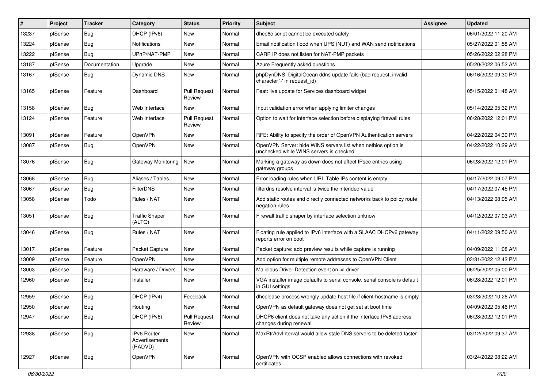| #     | Project | <b>Tracker</b> | Category                                        | <b>Status</b>                 | <b>Priority</b> | Subject                                                                                                  | <b>Assignee</b> | <b>Updated</b>      |
|-------|---------|----------------|-------------------------------------------------|-------------------------------|-----------------|----------------------------------------------------------------------------------------------------------|-----------------|---------------------|
| 13237 | pfSense | Bug            | DHCP (IPv6)                                     | New                           | Normal          | dhcp6c script cannot be executed safely                                                                  |                 | 06/01/2022 11:20 AM |
| 13224 | pfSense | <b>Bug</b>     | <b>Notifications</b>                            | New                           | Normal          | Email notification flood when UPS (NUT) and WAN send notifications                                       |                 | 05/27/2022 01:58 AM |
| 13222 | pfSense | Bug            | UPnP/NAT-PMP                                    | New                           | Normal          | CARP IP does not listen for NAT-PMP packets                                                              |                 | 05/26/2022 02:28 PM |
| 13187 | pfSense | Documentation  | Upgrade                                         | New                           | Normal          | Azure Frequently asked questions                                                                         |                 | 05/20/2022 06:52 AM |
| 13167 | pfSense | Bug            | Dynamic DNS                                     | New                           | Normal          | phpDynDNS: DigitalOcean ddns update fails (bad request, invalid<br>character '-' in request_id)          |                 | 06/16/2022 09:30 PM |
| 13165 | pfSense | Feature        | Dashboard                                       | <b>Pull Request</b><br>Review | Normal          | Feat: live update for Services dashboard widget                                                          |                 | 05/15/2022 01:48 AM |
| 13158 | pfSense | Bug            | Web Interface                                   | New                           | Normal          | Input validation error when applying limiter changes                                                     |                 | 05/14/2022 05:32 PM |
| 13124 | pfSense | Feature        | Web Interface                                   | <b>Pull Request</b><br>Review | Normal          | Option to wait for interface selection before displaying firewall rules                                  |                 | 06/28/2022 12:01 PM |
| 13091 | pfSense | Feature        | OpenVPN                                         | New                           | Normal          | RFE: Ability to specify the order of OpenVPN Authentication servers                                      |                 | 04/22/2022 04:30 PM |
| 13087 | pfSense | <b>Bug</b>     | OpenVPN                                         | New                           | Normal          | OpenVPN Server: hide WINS servers list when netbios option is<br>unchecked while WINS servers is checked |                 | 04/22/2022 10:29 AM |
| 13076 | pfSense | Bug            | Gateway Monitoring New                          |                               | Normal          | Marking a gateway as down does not affect IPsec entries using<br>gateway groups                          |                 | 06/28/2022 12:01 PM |
| 13068 | pfSense | Bug            | Aliases / Tables                                | <b>New</b>                    | Normal          | Error loading rules when URL Table IPs content is empty                                                  |                 | 04/17/2022 09:07 PM |
| 13067 | pfSense | Bug            | <b>FilterDNS</b>                                | New                           | Normal          | filterdns resolve interval is twice the intended value                                                   |                 | 04/17/2022 07:45 PM |
| 13058 | pfSense | Todo           | Rules / NAT                                     | New                           | Normal          | Add static routes and directly connected networks back to policy route<br>negation rules                 |                 | 04/13/2022 08:05 AM |
| 13051 | pfSense | Bug            | <b>Traffic Shaper</b><br>(ALTQ)                 | New                           | Normal          | Firewall traffic shaper by interface selection unknow                                                    |                 | 04/12/2022 07:03 AM |
| 13046 | pfSense | Bug            | Rules / NAT                                     | New                           | Normal          | Floating rule applied to IPv6 interface with a SLAAC DHCPv6 gateway<br>reports error on boot             |                 | 04/11/2022 09:50 AM |
| 13017 | pfSense | Feature        | Packet Capture                                  | New                           | Normal          | Packet capture: add preview results while capture is running                                             |                 | 04/09/2022 11:08 AM |
| 13009 | pfSense | Feature        | OpenVPN                                         | New                           | Normal          | Add option for multiple remote addresses to OpenVPN Client                                               |                 | 03/31/2022 12:42 PM |
| 13003 | pfSense | Bug            | Hardware / Drivers                              | New                           | Normal          | Malicious Driver Detection event on ixl driver                                                           |                 | 06/25/2022 05:00 PM |
| 12960 | pfSense | Bug            | Installer                                       | New                           | Normal          | VGA installer image defaults to serial console, serial console is default<br>in GUI settings             |                 | 06/28/2022 12:01 PM |
| 12959 | pfSense | Bug            | DHCP (IPv4)                                     | Feedback                      | Normal          | dhoplease process wrongly update host file if client-hostname is empty                                   |                 | 03/28/2022 10:26 AM |
| 12950 | pfSense | Bug            | Routing                                         | New                           | Normal          | OpenVPN as default gateway does not get set at boot time                                                 |                 | 04/09/2022 05:46 PM |
| 12947 | pfSense | Bug            | DHCP (IPv6)                                     | <b>Pull Request</b><br>Review | Normal          | DHCP6 client does not take any action if the interface IPv6 address<br>changes during renewal            |                 | 06/28/2022 12:01 PM |
| 12938 | pfSense | Bug            | <b>IPv6 Router</b><br>Advertisements<br>(RADVD) | New                           | Normal          | MaxRtrAdvInterval would allow stale DNS servers to be deleted faster                                     |                 | 03/12/2022 09:37 AM |
| 12927 | pfSense | Bug            | OpenVPN                                         | New                           | Normal          | OpenVPN with OCSP enabled allows connections with revoked<br>certificates                                |                 | 03/24/2022 08:22 AM |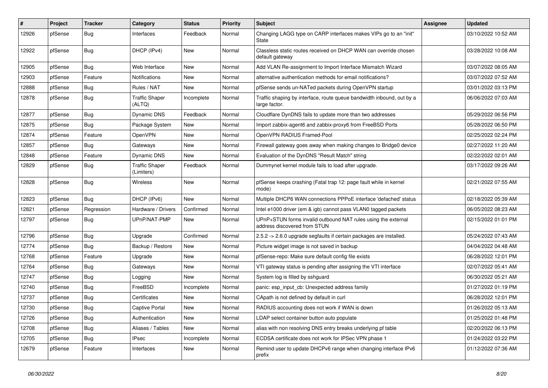| #     | Project | <b>Tracker</b> | Category                            | <b>Status</b> | <b>Priority</b> | <b>Subject</b>                                                                                | <b>Assignee</b> | <b>Updated</b>      |
|-------|---------|----------------|-------------------------------------|---------------|-----------------|-----------------------------------------------------------------------------------------------|-----------------|---------------------|
| 12926 | pfSense | <b>Bug</b>     | Interfaces                          | Feedback      | Normal          | Changing LAGG type on CARP interfaces makes VIPs go to an "init"<br>State                     |                 | 03/10/2022 10:52 AM |
| 12922 | pfSense | Bug            | DHCP (IPv4)                         | New           | Normal          | Classless static routes received on DHCP WAN can override chosen<br>default gateway           |                 | 03/28/2022 10:08 AM |
| 12905 | pfSense | Bug            | Web Interface                       | New           | Normal          | Add VLAN Re-assignment to Import Interface Mismatch Wizard                                    |                 | 03/07/2022 08:05 AM |
| 12903 | pfSense | Feature        | Notifications                       | New           | Normal          | alternative authentication methods for email notifications?                                   |                 | 03/07/2022 07:52 AM |
| 12888 | pfSense | Bug            | Rules / NAT                         | New           | Normal          | pfSense sends un-NATed packets during OpenVPN startup                                         |                 | 03/01/2022 03:13 PM |
| 12878 | pfSense | <b>Bug</b>     | <b>Traffic Shaper</b><br>(ALTQ)     | Incomplete    | Normal          | Traffic shaping by interface, route queue bandwidth inbound, out by a<br>large factor.        |                 | 06/06/2022 07:03 AM |
| 12877 | pfSense | Bug            | <b>Dynamic DNS</b>                  | Feedback      | Normal          | Cloudflare DynDNS fails to update more than two addresses                                     |                 | 05/29/2022 06:56 PM |
| 12875 | pfSense | Bug            | Package System                      | New           | Normal          | Import zabbix-agent6 and zabbix-proxy6 from FreeBSD Ports                                     |                 | 05/28/2022 06:50 PM |
| 12874 | pfSense | Feature        | OpenVPN                             | New           | Normal          | OpenVPN RADIUS Framed-Pool                                                                    |                 | 02/25/2022 02:24 PM |
| 12857 | pfSense | Bug            | Gateways                            | New           | Normal          | Firewall gateway goes away when making changes to Bridge0 device                              |                 | 02/27/2022 11:20 AM |
| 12848 | pfSense | Feature        | Dynamic DNS                         | New           | Normal          | Evaluation of the DynDNS "Result Match" string                                                |                 | 02/22/2022 02:01 AM |
| 12829 | pfSense | Bug            | <b>Traffic Shaper</b><br>(Limiters) | Feedback      | Normal          | Dummynet kernel module fails to load after upgrade.                                           |                 | 03/17/2022 09:26 AM |
| 12828 | pfSense | <b>Bug</b>     | Wireless                            | <b>New</b>    | Normal          | pfSense keeps crashing (Fatal trap 12: page fault while in kernel<br>mode)                    |                 | 02/21/2022 07:55 AM |
| 12823 | pfSense | Bug            | DHCP (IPv6)                         | New           | Normal          | Multiple DHCP6 WAN connections PPPoE interface 'defached' status                              |                 | 02/18/2022 05:39 AM |
| 12821 | pfSense | Regression     | Hardware / Drivers                  | Confirmed     | Normal          | Intel e1000 driver (em & igb) cannot pass VLAN0 tagged packets                                |                 | 06/05/2022 08:23 AM |
| 12797 | pfSense | Bug            | UPnP/NAT-PMP                        | New           | Normal          | UPnP+STUN forms invalid outbound NAT rules using the external<br>address discovered from STUN |                 | 02/15/2022 01:01 PM |
| 12796 | pfSense | <b>Bug</b>     | Upgrade                             | Confirmed     | Normal          | 2.5.2 -> 2.6.0 upgrade segfaults if certain packages are installed.                           |                 | 05/24/2022 07:43 AM |
| 12774 | pfSense | <b>Bug</b>     | Backup / Restore                    | New           | Normal          | Picture widget image is not saved in backup                                                   |                 | 04/04/2022 04:48 AM |
| 12768 | pfSense | Feature        | Upgrade                             | New           | Normal          | pfSense-repo: Make sure default config file exists                                            |                 | 06/28/2022 12:01 PM |
| 12764 | pfSense | <b>Bug</b>     | Gateways                            | New           | Normal          | VTI gateway status is pending after assigning the VTI interface                               |                 | 02/07/2022 05:41 AM |
| 12747 | pfSense | Bug            | Logging                             | New           | Normal          | System log is filled by sshguard                                                              |                 | 06/30/2022 05:21 AM |
| 12740 | pfSense | Bug            | FreeBSD                             | Incomplete    | Normal          | panic: esp input cb: Unexpected address family                                                |                 | 01/27/2022 01:19 PM |
| 12737 | pfSense | Bug            | Certificates                        | New           | Normal          | CApath is not defined by default in curl                                                      |                 | 06/28/2022 12:01 PM |
| 12730 | pfSense | Bug            | Captive Portal                      | New           | Normal          | RADIUS accounting does not work if WAN is down                                                |                 | 01/26/2022 05:13 AM |
| 12726 | pfSense | Bug            | Authentication                      | New           | Normal          | LDAP select container button auto populate                                                    |                 | 01/25/2022 01:48 PM |
| 12708 | pfSense | Bug            | Aliases / Tables                    | New           | Normal          | alias with non resolving DNS entry breaks underlying pf table                                 |                 | 02/20/2022 06:13 PM |
| 12705 | pfSense | Bug            | <b>IPsec</b>                        | Incomplete    | Normal          | ECDSA certificate does not work for IPSec VPN phase 1                                         |                 | 01/24/2022 03:22 PM |
| 12679 | pfSense | Feature        | Interfaces                          | New           | Normal          | Remind user to update DHCPv6 range when changing interface IPv6<br>prefix                     |                 | 01/12/2022 07:36 AM |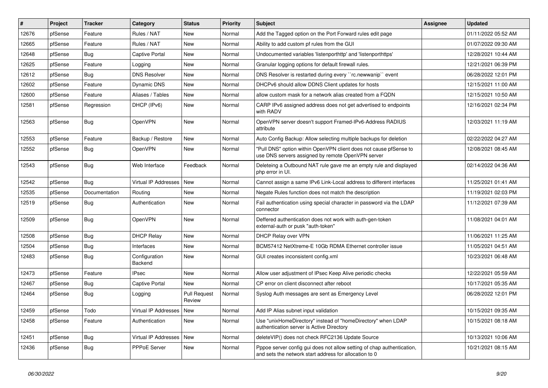| #     | Project | <b>Tracker</b> | Category                   | <b>Status</b>          | <b>Priority</b> | <b>Subject</b>                                                                                                                   | <b>Assignee</b> | <b>Updated</b>      |
|-------|---------|----------------|----------------------------|------------------------|-----------------|----------------------------------------------------------------------------------------------------------------------------------|-----------------|---------------------|
| 12676 | pfSense | Feature        | Rules / NAT                | New                    | Normal          | Add the Tagged option on the Port Forward rules edit page                                                                        |                 | 01/11/2022 05:52 AM |
| 12665 | pfSense | Feature        | Rules / NAT                | New                    | Normal          | Ability to add custom pf rules from the GUI                                                                                      |                 | 01/07/2022 09:30 AM |
| 12648 | pfSense | <b>Bug</b>     | Captive Portal             | New                    | Normal          | Undocumented variables 'listenporthttp' and 'listenporthttps'                                                                    |                 | 12/28/2021 10:44 AM |
| 12625 | pfSense | Feature        | Logging                    | New                    | Normal          | Granular logging options for default firewall rules.                                                                             |                 | 12/21/2021 06:39 PM |
| 12612 | pfSense | Bug            | <b>DNS Resolver</b>        | New                    | Normal          | DNS Resolver is restarted during every "rc.newwanip" event                                                                       |                 | 06/28/2022 12:01 PM |
| 12602 | pfSense | Feature        | Dynamic DNS                | New                    | Normal          | DHCPv6 should allow DDNS Client updates for hosts                                                                                |                 | 12/15/2021 11:00 AM |
| 12600 | pfSense | Feature        | Aliases / Tables           | New                    | Normal          | allow custom mask for a network alias created from a FQDN                                                                        |                 | 12/15/2021 10:50 AM |
| 12581 | pfSense | Regression     | DHCP (IPv6)                | New                    | Normal          | CARP IPv6 assigned address does not get advertised to endpoints<br>with RADV                                                     |                 | 12/16/2021 02:34 PM |
| 12563 | pfSense | <b>Bug</b>     | <b>OpenVPN</b>             | New                    | Normal          | OpenVPN server doesn't support Framed-IPv6-Address RADIUS<br>attribute                                                           |                 | 12/03/2021 11:19 AM |
| 12553 | pfSense | Feature        | Backup / Restore           | New                    | Normal          | Auto Config Backup: Allow selecting multiple backups for deletion                                                                |                 | 02/22/2022 04:27 AM |
| 12552 | pfSense | <b>Bug</b>     | <b>OpenVPN</b>             | New                    | Normal          | "Pull DNS" option within OpenVPN client does not cause pfSense to<br>use DNS servers assigned by remote OpenVPN server           |                 | 12/08/2021 08:45 AM |
| 12543 | pfSense | <b>Bug</b>     | Web Interface              | Feedback               | Normal          | Deleteing a Outbound NAT rule gave me an empty rule and displayed<br>php error in UI.                                            |                 | 02/14/2022 04:36 AM |
| 12542 | pfSense | <b>Bug</b>     | Virtual IP Addresses       | New                    | Normal          | Cannot assign a same IPv6 Link-Local address to different interfaces                                                             |                 | 11/25/2021 01:41 AM |
| 12535 | pfSense | Documentation  | Routing                    | New                    | Normal          | Negate Rules function does not match the description                                                                             |                 | 11/19/2021 02:03 PM |
| 12519 | pfSense | <b>Bug</b>     | Authentication             | New                    | Normal          | Fail authentication using special character in password via the LDAP<br>connector                                                |                 | 11/12/2021 07:39 AM |
| 12509 | pfSense | <b>Bug</b>     | <b>OpenVPN</b>             | New                    | Normal          | Deffered authentication does not work with auth-gen-token<br>external-auth or pusk "auth-token"                                  |                 | 11/08/2021 04:01 AM |
| 12508 | pfSense | Bug            | <b>DHCP Relay</b>          | New                    | Normal          | DHCP Relay over VPN                                                                                                              |                 | 11/06/2021 11:25 AM |
| 12504 | pfSense | <b>Bug</b>     | Interfaces                 | New                    | Normal          | BCM57412 NetXtreme-E 10Gb RDMA Ethernet controller issue                                                                         |                 | 11/05/2021 04:51 AM |
| 12483 | pfSense | Bug            | Configuration<br>Backend   | New                    | Normal          | GUI creates inconsistent config.xml                                                                                              |                 | 10/23/2021 06:48 AM |
| 12473 | pfSense | Feature        | <b>IPsec</b>               | New                    | Normal          | Allow user adjustment of IPsec Keep Alive periodic checks                                                                        |                 | 12/22/2021 05:59 AM |
| 12467 | pfSense | <b>Bug</b>     | Captive Portal             | New                    | Normal          | CP error on client disconnect after reboot                                                                                       |                 | 10/17/2021 05:35 AM |
| 12464 | pfSense | <b>Bug</b>     | Logging                    | Pull Request<br>Review | Normal          | Syslog Auth messages are sent as Emergency Level                                                                                 |                 | 06/28/2022 12:01 PM |
| 12459 | pfSense | Todo           | Virtual IP Addresses   New |                        | Normal          | Add IP Alias subnet input validation                                                                                             |                 | 10/15/2021 09:35 AM |
| 12458 | pfSense | Feature        | Authentication             | New                    | Normal          | Use "unixHomeDirectory" instead of "homeDirectory" when LDAP<br>authentication server is Active Directory                        |                 | 10/15/2021 08:18 AM |
| 12451 | pfSense | i Bug          | Virtual IP Addresses   New |                        | Normal          | deleteVIP() does not check RFC2136 Update Source                                                                                 |                 | 10/13/2021 10:06 AM |
| 12436 | pfSense | <b>Bug</b>     | PPPoE Server               | New                    | Normal          | Pppoe server config gui does not allow setting of chap authentication,<br>and sets the network start address for allocation to 0 |                 | 10/21/2021 08:15 AM |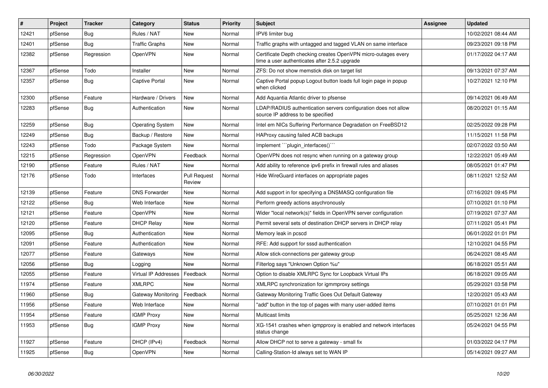| $\vert$ # | <b>Project</b> | <b>Tracker</b> | Category                | <b>Status</b>                 | Priority | <b>Subject</b>                                                                                                  | <b>Assignee</b> | <b>Updated</b>      |
|-----------|----------------|----------------|-------------------------|-------------------------------|----------|-----------------------------------------------------------------------------------------------------------------|-----------------|---------------------|
| 12421     | pfSense        | Bug            | Rules / NAT             | <b>New</b>                    | Normal   | IPV6 limiter bug                                                                                                |                 | 10/02/2021 08:44 AM |
| 12401     | pfSense        | Bug            | <b>Traffic Graphs</b>   | New                           | Normal   | Traffic graphs with untagged and tagged VLAN on same interface                                                  |                 | 09/23/2021 09:18 PM |
| 12382     | pfSense        | Regression     | OpenVPN                 | New                           | Normal   | Certificate Depth checking creates OpenVPN micro-outages every<br>time a user authenticates after 2.5.2 upgrade |                 | 01/17/2022 04:17 AM |
| 12367     | pfSense        | Todo           | Installer               | New                           | Normal   | ZFS: Do not show memstick disk on target list                                                                   |                 | 09/13/2021 07:37 AM |
| 12357     | pfSense        | Bug            | Captive Portal          | New                           | Normal   | Captive Portal popup Logout button loads full login page in popup<br>when clicked                               |                 | 10/27/2021 12:10 PM |
| 12300     | pfSense        | Feature        | Hardware / Drivers      | New                           | Normal   | Add Aquantia Atlantic driver to pfsense                                                                         |                 | 09/14/2021 06:49 AM |
| 12283     | pfSense        | <b>Bug</b>     | Authentication          | New                           | Normal   | LDAP/RADIUS authentication servers configuration does not allow<br>source IP address to be specified            |                 | 08/20/2021 01:15 AM |
| 12259     | pfSense        | Bug            | <b>Operating System</b> | <b>New</b>                    | Normal   | Intel em NICs Suffering Performance Degradation on FreeBSD12                                                    |                 | 02/25/2022 09:28 PM |
| 12249     | pfSense        | Bug            | Backup / Restore        | New                           | Normal   | HAProxy causing failed ACB backups                                                                              |                 | 11/15/2021 11:58 PM |
| 12243     | pfSense        | Todo           | Package System          | New                           | Normal   | Implement "plugin interfaces()"                                                                                 |                 | 02/07/2022 03:50 AM |
| 12215     | pfSense        | Regression     | <b>OpenVPN</b>          | Feedback                      | Normal   | OpenVPN does not resync when running on a gateway group                                                         |                 | 12/22/2021 05:49 AM |
| 12190     | pfSense        | Feature        | Rules / NAT             | New                           | Normal   | Add ability to reference ipv6 prefix in firewall rules and aliases                                              |                 | 08/05/2021 01:47 PM |
| 12176     | pfSense        | Todo           | Interfaces              | <b>Pull Request</b><br>Review | Normal   | Hide WireGuard interfaces on appropriate pages                                                                  |                 | 08/11/2021 12:52 AM |
| 12139     | pfSense        | Feature        | <b>DNS Forwarder</b>    | New                           | Normal   | Add support in for specifying a DNSMASQ configuration file                                                      |                 | 07/16/2021 09:45 PM |
| 12122     | pfSense        | <b>Bug</b>     | Web Interface           | New                           | Normal   | Perform greedy actions asychronously                                                                            |                 | 07/10/2021 01:10 PM |
| 12121     | pfSense        | Feature        | OpenVPN                 | <b>New</b>                    | Normal   | Wider "local network(s)" fields in OpenVPN server configuration                                                 |                 | 07/19/2021 07:37 AM |
| 12120     | pfSense        | Feature        | <b>DHCP Relay</b>       | New                           | Normal   | Permit several sets of destination DHCP servers in DHCP relay                                                   |                 | 07/11/2021 05:41 PM |
| 12095     | pfSense        | <b>Bug</b>     | Authentication          | <b>New</b>                    | Normal   | Memory leak in pcscd                                                                                            |                 | 06/01/2022 01:01 PM |
| 12091     | pfSense        | Feature        | Authentication          | New                           | Normal   | RFE: Add support for sssd authentication                                                                        |                 | 12/10/2021 04:55 PM |
| 12077     | pfSense        | Feature        | Gateways                | New                           | Normal   | Allow stick-connections per gateway group                                                                       |                 | 06/24/2021 08:45 AM |
| 12056     | pfSense        | Bug            | Logging                 | <b>New</b>                    | Normal   | Filterlog says "Unknown Option %u"                                                                              |                 | 06/18/2021 05:51 AM |
| 12055     | pfSense        | Feature        | Virtual IP Addresses    | Feedback                      | Normal   | Option to disable XMLRPC Sync for Loopback Virtual IPs                                                          |                 | 06/18/2021 09:05 AM |
| 11974     | pfSense        | Feature        | <b>XMLRPC</b>           | <b>New</b>                    | Normal   | XMLRPC synchronization for igmmproxy settings                                                                   |                 | 05/29/2021 03:58 PM |
| 11960     | pfSense        | <b>Bug</b>     | Gateway Monitoring      | Feedback                      | Normal   | Gateway Monitoring Traffic Goes Out Default Gateway                                                             |                 | 12/20/2021 05:43 AM |
| 11956     | pfSense        | Feature        | Web Interface           | <b>New</b>                    | Normal   | "add" button in the top of pages with many user-added items                                                     |                 | 07/10/2021 01:01 PM |
| 11954     | pfSense        | Feature        | <b>IGMP Proxy</b>       | New                           | Normal   | <b>Multicast limits</b>                                                                                         |                 | 05/25/2021 12:36 AM |
| 11953     | pfSense        | <b>Bug</b>     | <b>IGMP Proxy</b>       | New                           | Normal   | XG-1541 crashes when igmpproxy is enabled and network interfaces<br>status change                               |                 | 05/24/2021 04:55 PM |
| 11927     | pfSense        | Feature        | DHCP (IPv4)             | Feedback                      | Normal   | Allow DHCP not to serve a gateway - small fix                                                                   |                 | 01/03/2022 04:17 PM |
| 11925     | pfSense        | Bug            | <b>OpenVPN</b>          | <b>New</b>                    | Normal   | Calling-Station-Id always set to WAN IP                                                                         |                 | 05/14/2021 09:27 AM |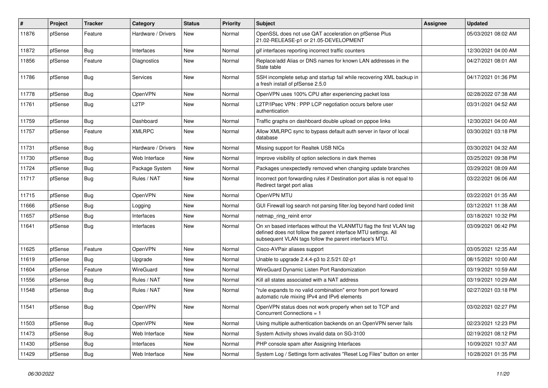| #     | Project | <b>Tracker</b> | Category           | <b>Status</b> | <b>Priority</b> | <b>Subject</b>                                                                                                                                                                                  | <b>Assignee</b> | <b>Updated</b>      |
|-------|---------|----------------|--------------------|---------------|-----------------|-------------------------------------------------------------------------------------------------------------------------------------------------------------------------------------------------|-----------------|---------------------|
| 11876 | pfSense | Feature        | Hardware / Drivers | New           | Normal          | OpenSSL does not use QAT acceleration on pfSense Plus<br>21.02-RELEASE-p1 or 21.05-DEVELOPMENT                                                                                                  |                 | 05/03/2021 08:02 AM |
| 11872 | pfSense | Bug            | Interfaces         | New           | Normal          | gif interfaces reporting incorrect traffic counters                                                                                                                                             |                 | 12/30/2021 04:00 AM |
| 11856 | pfSense | Feature        | Diagnostics        | New           | Normal          | Replace/add Alias or DNS names for known LAN addresses in the<br>State table                                                                                                                    |                 | 04/27/2021 08:01 AM |
| 11786 | pfSense | <b>Bug</b>     | Services           | New           | Normal          | SSH incomplete setup and startup fail while recovering XML backup in<br>a fresh install of pfSense 2.5.0                                                                                        |                 | 04/17/2021 01:36 PM |
| 11778 | pfSense | <b>Bug</b>     | OpenVPN            | New           | Normal          | OpenVPN uses 100% CPU after experiencing packet loss                                                                                                                                            |                 | 02/28/2022 07:38 AM |
| 11761 | pfSense | <b>Bug</b>     | L <sub>2</sub> TP  | New           | Normal          | L2TP/IPsec VPN: PPP LCP negotiation occurs before user<br>authentication                                                                                                                        |                 | 03/31/2021 04:52 AM |
| 11759 | pfSense | Bug            | Dashboard          | New           | Normal          | Traffic graphs on dashboard double upload on pppoe links                                                                                                                                        |                 | 12/30/2021 04:00 AM |
| 11757 | pfSense | Feature        | <b>XMLRPC</b>      | New           | Normal          | Allow XMLRPC sync to bypass default auth server in favor of local<br>database                                                                                                                   |                 | 03/30/2021 03:18 PM |
| 11731 | pfSense | Bug            | Hardware / Drivers | New           | Normal          | Missing support for Realtek USB NICs                                                                                                                                                            |                 | 03/30/2021 04:32 AM |
| 11730 | pfSense | Bug            | Web Interface      | New           | Normal          | Improve visibility of option selections in dark themes                                                                                                                                          |                 | 03/25/2021 09:38 PM |
| 11724 | pfSense | <b>Bug</b>     | Package System     | New           | Normal          | Packages unexpectedly removed when changing update branches                                                                                                                                     |                 | 03/29/2021 08:09 AM |
| 11717 | pfSense | <b>Bug</b>     | Rules / NAT        | New           | Normal          | Incorrect port forwarding rules if Destination port alias is not equal to<br>Redirect target port alias                                                                                         |                 | 03/22/2021 06:06 AM |
| 11715 | pfSense | Bug            | OpenVPN            | New           | Normal          | OpenVPN MTU                                                                                                                                                                                     |                 | 03/22/2021 01:35 AM |
| 11666 | pfSense | <b>Bug</b>     | Logging            | New           | Normal          | GUI Firewall log search not parsing filter.log beyond hard coded limit                                                                                                                          |                 | 03/12/2021 11:38 AM |
| 11657 | pfSense | Bug            | Interfaces         | New           | Normal          | netmap_ring_reinit error                                                                                                                                                                        |                 | 03/18/2021 10:32 PM |
| 11641 | pfSense | <b>Bug</b>     | Interfaces         | New           | Normal          | On xn based interfaces without the VLANMTU flag the first VLAN tag<br>defined does not follow the parent interface MTU settings. All<br>subsequent VLAN tags follow the parent interface's MTU. |                 | 03/09/2021 06:42 PM |
| 11625 | pfSense | Feature        | OpenVPN            | New           | Normal          | Cisco-AVPair aliases support                                                                                                                                                                    |                 | 03/05/2021 12:35 AM |
| 11619 | pfSense | Bug            | Upgrade            | New           | Normal          | Unable to upgrade 2.4.4-p3 to 2.5/21.02-p1                                                                                                                                                      |                 | 08/15/2021 10:00 AM |
| 11604 | pfSense | Feature        | WireGuard          | <b>New</b>    | Normal          | WireGuard Dynamic Listen Port Randomization                                                                                                                                                     |                 | 03/19/2021 10:59 AM |
| 11556 | pfSense | <b>Bug</b>     | Rules / NAT        | New           | Normal          | Kill all states associated with a NAT address                                                                                                                                                   |                 | 03/19/2021 10:29 AM |
| 11548 | pfSense | Bug            | Rules / NAT        | New           | Normal          | "rule expands to no valid combination" error from port forward<br>automatic rule mixing IPv4 and IPv6 elements                                                                                  |                 | 02/27/2021 03:18 PM |
| 11541 | pfSense | Bug            | OpenVPN            | New           | Normal          | OpenVPN status does not work properly when set to TCP and<br>Concurrent Connections = 1                                                                                                         |                 | 03/02/2021 02:27 PM |
| 11503 | pfSense | <b>Bug</b>     | OpenVPN            | New           | Normal          | Using multiple authentication backends on an OpenVPN server fails                                                                                                                               |                 | 02/23/2021 12:23 PM |
| 11473 | pfSense | <b>Bug</b>     | Web Interface      | New           | Normal          | System Activity shows invalid data on SG-3100                                                                                                                                                   |                 | 02/19/2021 08:12 PM |
| 11430 | pfSense | <b>Bug</b>     | Interfaces         | New           | Normal          | PHP console spam after Assigning Interfaces                                                                                                                                                     |                 | 10/09/2021 10:37 AM |
| 11429 | pfSense | Bug            | Web Interface      | New           | Normal          | System Log / Settings form activates "Reset Log Files" button on enter                                                                                                                          |                 | 10/28/2021 01:35 PM |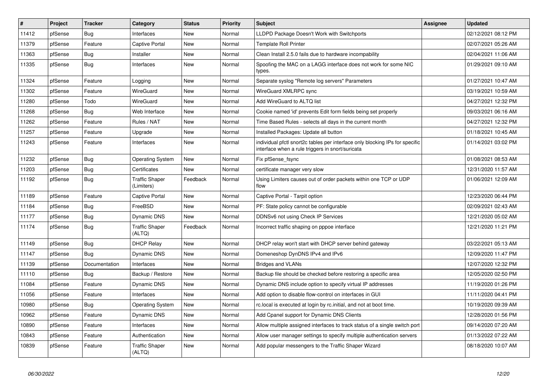| #     | Project | <b>Tracker</b> | Category                            | <b>Status</b> | <b>Priority</b> | <b>Subject</b>                                                                                                                   | <b>Assignee</b> | <b>Updated</b>      |
|-------|---------|----------------|-------------------------------------|---------------|-----------------|----------------------------------------------------------------------------------------------------------------------------------|-----------------|---------------------|
| 11412 | pfSense | Bug            | Interfaces                          | <b>New</b>    | Normal          | LLDPD Package Doesn't Work with Switchports                                                                                      |                 | 02/12/2021 08:12 PM |
| 11379 | pfSense | Feature        | <b>Captive Portal</b>               | New           | Normal          | <b>Template Roll Printer</b>                                                                                                     |                 | 02/07/2021 05:26 AM |
| 11363 | pfSense | <b>Bug</b>     | Installer                           | <b>New</b>    | Normal          | Clean Install 2.5.0 fails due to hardware incompability                                                                          |                 | 02/04/2021 11:06 AM |
| 11335 | pfSense | Bug            | Interfaces                          | <b>New</b>    | Normal          | Spoofing the MAC on a LAGG interface does not work for some NIC<br>types.                                                        |                 | 01/29/2021 09:10 AM |
| 11324 | pfSense | Feature        | Logging                             | New           | Normal          | Separate syslog "Remote log servers" Parameters                                                                                  |                 | 01/27/2021 10:47 AM |
| 11302 | pfSense | Feature        | WireGuard                           | New           | Normal          | WireGuard XMLRPC sync                                                                                                            |                 | 03/19/2021 10:59 AM |
| 11280 | pfSense | Todo           | WireGuard                           | New           | Normal          | Add WireGuard to ALTQ list                                                                                                       |                 | 04/27/2021 12:32 PM |
| 11268 | pfSense | Bug            | Web Interface                       | New           | Normal          | Cookie named 'id' prevents Edit form fields being set properly                                                                   |                 | 09/03/2021 06:16 AM |
| 11262 | pfSense | Feature        | Rules / NAT                         | New           | Normal          | Time Based Rules - selects all days in the current month                                                                         |                 | 04/27/2021 12:32 PM |
| 11257 | pfSense | Feature        | Upgrade                             | <b>New</b>    | Normal          | Installed Packages: Update all button                                                                                            |                 | 01/18/2021 10:45 AM |
| 11243 | pfSense | Feature        | Interfaces                          | <b>New</b>    | Normal          | individual pfctl snort2c tables per interface only blocking IPs for specific<br>interface when a rule triggers in snort/suricata |                 | 01/14/2021 03:02 PM |
| 11232 | pfSense | Bug            | <b>Operating System</b>             | New           | Normal          | Fix pfSense fsync                                                                                                                |                 | 01/08/2021 08:53 AM |
| 11203 | pfSense | Bug            | Certificates                        | <b>New</b>    | Normal          | certificate manager very slow                                                                                                    |                 | 12/31/2020 11:57 AM |
| 11192 | pfSense | Bug            | <b>Traffic Shaper</b><br>(Limiters) | Feedback      | Normal          | Using Limiters causes out of order packets within one TCP or UDP<br>flow                                                         |                 | 01/06/2021 12:09 AM |
| 11189 | pfSense | Feature        | Captive Portal                      | <b>New</b>    | Normal          | Captive Portal - Tarpit option                                                                                                   |                 | 12/23/2020 06:44 PM |
| 11184 | pfSense | <b>Bug</b>     | FreeBSD                             | <b>New</b>    | Normal          | PF: State policy cannot be configurable                                                                                          |                 | 02/09/2021 02:43 AM |
| 11177 | pfSense | <b>Bug</b>     | Dynamic DNS                         | New           | Normal          | DDNSv6 not using Check IP Services                                                                                               |                 | 12/21/2020 05:02 AM |
| 11174 | pfSense | Bug            | <b>Traffic Shaper</b><br>(ALTQ)     | Feedback      | Normal          | Incorrect traffic shaping on pppoe interface                                                                                     |                 | 12/21/2020 11:21 PM |
| 11149 | pfSense | <b>Bug</b>     | <b>DHCP Relay</b>                   | <b>New</b>    | Normal          | DHCP relay won't start with DHCP server behind gateway                                                                           |                 | 03/22/2021 05:13 AM |
| 11147 | pfSense | Bug            | Dynamic DNS                         | New           | Normal          | Domeneshop DynDNS IPv4 and IPv6                                                                                                  |                 | 12/09/2020 11:47 PM |
| 11139 | pfSense | Documentation  | Interfaces                          | <b>New</b>    | Normal          | <b>Bridges and VLANs</b>                                                                                                         |                 | 12/07/2020 12:32 PM |
| 11110 | pfSense | Bug            | Backup / Restore                    | New           | Normal          | Backup file should be checked before restoring a specific area                                                                   |                 | 12/05/2020 02:50 PM |
| 11084 | pfSense | Feature        | Dynamic DNS                         | New           | Normal          | Dynamic DNS include option to specify virtual IP addresses                                                                       |                 | 11/19/2020 01:26 PM |
| 11056 | pfSense | Feature        | Interfaces                          | New           | Normal          | Add option to disable flow-control on interfaces in GUI                                                                          |                 | 11/11/2020 04:41 PM |
| 10980 | pfSense | <b>Bug</b>     | <b>Operating System</b>             | New           | Normal          | rc.local is executed at login by rc.initial, and not at boot time.                                                               |                 | 10/19/2020 09:39 AM |
| 10962 | pfSense | Feature        | Dynamic DNS                         | New           | Normal          | Add Cpanel support for Dynamic DNS Clients                                                                                       |                 | 12/28/2020 01:56 PM |
| 10890 | pfSense | Feature        | Interfaces                          | <b>New</b>    | Normal          | Allow multiple assigned interfaces to track status of a single switch port                                                       |                 | 09/14/2020 07:20 AM |
| 10843 | pfSense | Feature        | Authentication                      | <b>New</b>    | Normal          | Allow user manager settings to specify multiple authentication servers                                                           |                 | 01/13/2022 07:22 AM |
| 10839 | pfSense | Feature        | <b>Traffic Shaper</b><br>(ALTQ)     | <b>New</b>    | Normal          | Add popular messengers to the Traffic Shaper Wizard                                                                              |                 | 08/18/2020 10:07 AM |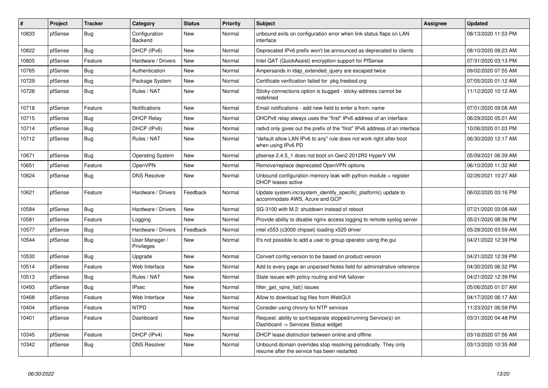| #     | Project | <b>Tracker</b> | Category                     | <b>Status</b> | Priority | <b>Subject</b>                                                                                                  | <b>Assignee</b> | <b>Updated</b>      |
|-------|---------|----------------|------------------------------|---------------|----------|-----------------------------------------------------------------------------------------------------------------|-----------------|---------------------|
| 10833 | pfSense | <b>Bug</b>     | Configuration<br>Backend     | New           | Normal   | unbound exits on configuration error when link status flaps on LAN<br>interface                                 |                 | 08/13/2020 11:53 PM |
| 10822 | pfSense | Bug            | DHCP (IPv6)                  | New           | Normal   | Deprecated IPv6 prefix won't be announced as deprecated to clients                                              |                 | 08/10/2020 09:23 AM |
| 10805 | pfSense | Feature        | Hardware / Drivers           | New           | Normal   | Intel QAT (QuickAssist) encryption support for PfSense                                                          |                 | 07/31/2020 03:13 PM |
| 10765 | pfSense | <b>Bug</b>     | Authentication               | New           | Normal   | Ampersands in Idap_extended_query are escaped twice                                                             |                 | 09/02/2020 07:55 AM |
| 10729 | pfSense | Bug            | Package System               | New           | Normal   | Certificate verification failed for pkg.freebsd.org                                                             |                 | 07/05/2020 01:12 AM |
| 10726 | pfSense | <b>Bug</b>     | Rules / NAT                  | New           | Normal   | Sticky-connections option is bugged - sticky-address cannot be<br>redefined                                     |                 | 11/12/2020 10:12 AM |
| 10718 | pfSense | Feature        | <b>Notifications</b>         | New           | Normal   | Email notifications - add new field to enter a from: name                                                       |                 | 07/01/2020 09:08 AM |
| 10715 | pfSense | <b>Bug</b>     | <b>DHCP Relay</b>            | New           | Normal   | DHCPv6 relay always uses the "first" IPv6 address of an interface                                               |                 | 06/29/2020 05:01 AM |
| 10714 | pfSense | <b>Bug</b>     | DHCP (IPv6)                  | <b>New</b>    | Normal   | radyd only gives out the prefix of the "first" IPv6 address of an interface                                     |                 | 10/06/2020 01:03 PM |
| 10712 | pfSense | Bug            | Rules / NAT                  | New           | Normal   | "default allow LAN IPv6 to any" rule does not work right after boot<br>when using IPv6 PD                       |                 | 06/30/2020 12:17 AM |
| 10671 | pfSense | <b>Bug</b>     | <b>Operating System</b>      | New           | Normal   | pfsense 2.4.5 1 does not boot on Gen2 2012R2 HyperV VM                                                          |                 | 05/09/2021 06:39 AM |
| 10651 | pfSense | Feature        | OpenVPN                      | New           | Normal   | Remove/replace deprecated OpenVPN options                                                                       |                 | 06/10/2020 11:32 AM |
| 10624 | pfSense | <b>Bug</b>     | <b>DNS Resolver</b>          | New           | Normal   | Unbound configuration memory leak with python module $+$ register<br>DHCP leases active                         |                 | 02/26/2021 10:27 AM |
| 10621 | pfSense | Feature        | Hardware / Drivers           | Feedback      | Normal   | Update system.inc/system identify specific platform() update to<br>accommodate AWS, Azure and GCP               |                 | 06/02/2020 03:16 PM |
| 10584 | pfSense | <b>Bug</b>     | Hardware / Drivers           | <b>New</b>    | Normal   | SG-3100 with M.2: shutdown instead of reboot                                                                    |                 | 07/21/2020 03:08 AM |
| 10581 | pfSense | Feature        | Logging                      | <b>New</b>    | Normal   | Provide ability to disable nginx access logging to remote syslog server                                         |                 | 05/21/2020 08:36 PM |
| 10577 | pfSense | <b>Bug</b>     | Hardware / Drivers           | Feedback      | Normal   | intel x553 (c3000 chipset) loading x520 driver                                                                  |                 | 05/28/2020 03:59 AM |
| 10544 | pfSense | Bug            | User Manager /<br>Privileges | New           | Normal   | It's not possible to add a user to group operator using the gui                                                 |                 | 04/21/2022 12:39 PM |
| 10530 | pfSense | <b>Bug</b>     | Upgrade                      | <b>New</b>    | Normal   | Convert config version to be based on product version                                                           |                 | 04/21/2022 12:39 PM |
| 10514 | pfSense | Feature        | Web Interface                | New           | Normal   | Add to every page an unparsed Notes field for administrative reference                                          |                 | 04/30/2020 06:32 PM |
| 10513 | pfSense | Bug            | Rules / NAT                  | New           | Normal   | State issues with policy routing and HA failover                                                                |                 | 04/21/2022 12:39 PM |
| 10493 | pfSense | <b>Bug</b>     | <b>IPsec</b>                 | New           | Normal   | filter_get_vpns_list() issues                                                                                   |                 | 05/06/2020 01:07 AM |
| 10468 | pfSense | Feature        | Web Interface                | <b>New</b>    | Normal   | Allow to download log files from WebGUI                                                                         |                 | 04/17/2020 06:17 AM |
| 10404 | pfSense | Feature        | <b>NTPD</b>                  | New           | Normal   | Consider using chrony for NTP services                                                                          |                 | 11/23/2021 06:59 PM |
| 10401 | pfSense | Feature        | Dashboard                    | <b>New</b>    | Normal   | Request: ability to sort/separate stopped/running Service(s) on<br>Dashboard -> Services Status widget          |                 | 03/31/2020 04:48 PM |
| 10345 | pfSense | Feature        | DHCP (IPv4)                  | New           | Normal   | DHCP lease distinction between online and offline                                                               |                 | 03/16/2020 07:56 AM |
| 10342 | pfSense | <b>Bug</b>     | <b>DNS Resolver</b>          | <b>New</b>    | Normal   | Unbound domain overrides stop resolving periodically. They only<br>resume after the service has been restarted. |                 | 03/13/2020 10:35 AM |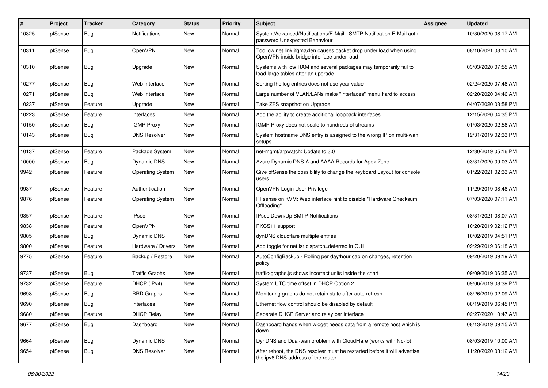| $\vert$ # | Project | <b>Tracker</b> | Category                | <b>Status</b> | <b>Priority</b> | <b>Subject</b>                                                                                                    | Assignee | <b>Updated</b>      |
|-----------|---------|----------------|-------------------------|---------------|-----------------|-------------------------------------------------------------------------------------------------------------------|----------|---------------------|
| 10325     | pfSense | <b>Bug</b>     | Notifications           | New           | Normal          | System/Advanced/Notifications/E-Mail - SMTP Notification E-Mail auth<br>password Unexpected Bahaviour             |          | 10/30/2020 08:17 AM |
| 10311     | pfSense | <b>Bug</b>     | OpenVPN                 | New           | Normal          | Too low net.link.ifqmaxlen causes packet drop under load when using<br>OpenVPN inside bridge interface under load |          | 08/10/2021 03:10 AM |
| 10310     | pfSense | <b>Bug</b>     | Upgrade                 | New           | Normal          | Systems with low RAM and several packages may temporarily fail to<br>load large tables after an upgrade           |          | 03/03/2020 07:55 AM |
| 10277     | pfSense | Bug            | Web Interface           | New           | Normal          | Sorting the log entries does not use year value                                                                   |          | 02/24/2020 07:46 AM |
| 10271     | pfSense | Bug            | Web Interface           | <b>New</b>    | Normal          | Large number of VLAN/LANs make "Interfaces" menu hard to access                                                   |          | 02/20/2020 04:46 AM |
| 10237     | pfSense | Feature        | Upgrade                 | New           | Normal          | Take ZFS snapshot on Upgrade                                                                                      |          | 04/07/2020 03:58 PM |
| 10223     | pfSense | Feature        | Interfaces              | <b>New</b>    | Normal          | Add the ability to create additional loopback interfaces                                                          |          | 12/15/2020 04:35 PM |
| 10150     | pfSense | <b>Bug</b>     | <b>IGMP Proxy</b>       | New           | Normal          | IGMP Proxy does not scale to hundreds of streams                                                                  |          | 01/03/2020 02:56 AM |
| 10143     | pfSense | <b>Bug</b>     | <b>DNS Resolver</b>     | New           | Normal          | System hostname DNS entry is assigned to the wrong IP on multi-wan<br>setups                                      |          | 12/31/2019 02:33 PM |
| 10137     | pfSense | Feature        | Package System          | New           | Normal          | net-mgmt/arpwatch: Update to 3.0                                                                                  |          | 12/30/2019 05:16 PM |
| 10000     | pfSense | Bug            | Dynamic DNS             | New           | Normal          | Azure Dynamic DNS A and AAAA Records for Apex Zone                                                                |          | 03/31/2020 09:03 AM |
| 9942      | pfSense | Feature        | <b>Operating System</b> | New           | Normal          | Give pfSense the possibility to change the keyboard Layout for console<br>users                                   |          | 01/22/2021 02:33 AM |
| 9937      | pfSense | Feature        | Authentication          | <b>New</b>    | Normal          | OpenVPN Login User Privilege                                                                                      |          | 11/29/2019 08:46 AM |
| 9876      | pfSense | Feature        | <b>Operating System</b> | New           | Normal          | PFsense on KVM: Web interface hint to disable "Hardware Checksum<br>Offloading'                                   |          | 07/03/2020 07:11 AM |
| 9857      | pfSense | Feature        | <b>IPsec</b>            | New           | Normal          | IPsec Down/Up SMTP Notifications                                                                                  |          | 08/31/2021 08:07 AM |
| 9838      | pfSense | Feature        | <b>OpenVPN</b>          | New           | Normal          | PKCS11 support                                                                                                    |          | 10/20/2019 02:12 PM |
| 9805      | pfSense | Bug            | Dynamic DNS             | New           | Normal          | dynDNS cloudflare multiple entries                                                                                |          | 10/02/2019 04:51 PM |
| 9800      | pfSense | Feature        | Hardware / Drivers      | New           | Normal          | Add toggle for net.isr.dispatch=deferred in GUI                                                                   |          | 09/29/2019 06:18 AM |
| 9775      | pfSense | Feature        | Backup / Restore        | New           | Normal          | AutoConfigBackup - Rolling per day/hour cap on changes, retention<br>policy                                       |          | 09/20/2019 09:19 AM |
| 9737      | pfSense | Bug            | <b>Traffic Graphs</b>   | New           | Normal          | traffic-graphs.js shows incorrect units inside the chart                                                          |          | 09/09/2019 06:35 AM |
| 9732      | pfSense | Feature        | DHCP (IPv4)             | New           | Normal          | System UTC time offset in DHCP Option 2                                                                           |          | 09/06/2019 08:39 PM |
| 9698      | pfSense | Bug            | <b>RRD Graphs</b>       | New           | Normal          | Monitoring graphs do not retain state after auto-refresh                                                          |          | 08/26/2019 02:09 AM |
| 9690      | pfSense | <b>Bug</b>     | Interfaces              | New           | Normal          | Ethernet flow control should be disabled by default                                                               |          | 08/19/2019 06:45 PM |
| 9680      | pfSense | Feature        | <b>DHCP Relay</b>       | New           | Normal          | Seperate DHCP Server and relay per interface                                                                      |          | 02/27/2020 10:47 AM |
| 9677      | pfSense | <b>Bug</b>     | Dashboard               | New           | Normal          | Dashboard hangs when widget needs data from a remote host which is<br>down                                        |          | 08/13/2019 09:15 AM |
| 9664      | pfSense | <b>Bug</b>     | Dynamic DNS             | New           | Normal          | DynDNS and Dual-wan problem with CloudFlare (works with No-Ip)                                                    |          | 08/03/2019 10:00 AM |
| 9654      | pfSense | <b>Bug</b>     | <b>DNS Resolver</b>     | New           | Normal          | After reboot, the DNS resolver must be restarted before it will advertise<br>the ipv6 DNS address of the router.  |          | 11/20/2020 03:12 AM |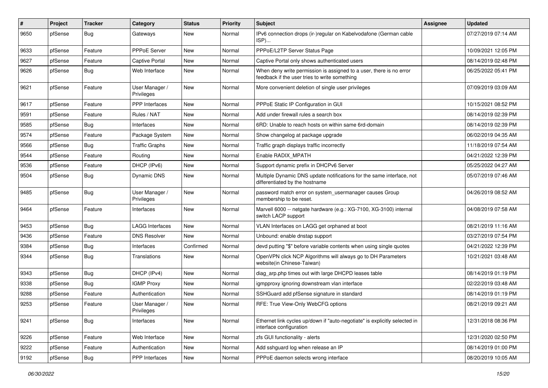| $\#$ | Project | <b>Tracker</b> | Category                     | <b>Status</b> | <b>Priority</b> | <b>Subject</b>                                                                                                       | <b>Assignee</b> | <b>Updated</b>      |
|------|---------|----------------|------------------------------|---------------|-----------------|----------------------------------------------------------------------------------------------------------------------|-----------------|---------------------|
| 9650 | pfSense | <b>Bug</b>     | Gateways                     | New           | Normal          | IPv6 connection drops (ir-)regular on Kabelvodafone (German cable<br>ISP)                                            |                 | 07/27/2019 07:14 AM |
| 9633 | pfSense | Feature        | <b>PPPoE Server</b>          | New           | Normal          | PPPoE/L2TP Server Status Page                                                                                        |                 | 10/09/2021 12:05 PM |
| 9627 | pfSense | Feature        | <b>Captive Portal</b>        | New           | Normal          | Captive Portal only shows authenticated users                                                                        |                 | 08/14/2019 02:48 PM |
| 9626 | pfSense | <b>Bug</b>     | Web Interface                | New           | Normal          | When deny write permission is assigned to a user, there is no error<br>feedback if the user tries to write something |                 | 06/25/2022 05:41 PM |
| 9621 | pfSense | Feature        | User Manager /<br>Privileges | New           | Normal          | More convenient deletion of single user privileges                                                                   |                 | 07/09/2019 03:09 AM |
| 9617 | pfSense | Feature        | PPP Interfaces               | New           | Normal          | PPPoE Static IP Configuration in GUI                                                                                 |                 | 10/15/2021 08:52 PM |
| 9591 | pfSense | Feature        | Rules / NAT                  | New           | Normal          | Add under firewall rules a search box                                                                                |                 | 08/14/2019 02:39 PM |
| 9585 | pfSense | <b>Bug</b>     | Interfaces                   | New           | Normal          | 6RD: Unable to reach hosts on within same 6rd-domain                                                                 |                 | 08/14/2019 02:39 PM |
| 9574 | pfSense | Feature        | Package System               | New           | Normal          | Show changelog at package upgrade                                                                                    |                 | 06/02/2019 04:35 AM |
| 9566 | pfSense | <b>Bug</b>     | <b>Traffic Graphs</b>        | New           | Normal          | Traffic graph displays traffic incorrectly                                                                           |                 | 11/18/2019 07:54 AM |
| 9544 | pfSense | Feature        | Routing                      | New           | Normal          | Enable RADIX MPATH                                                                                                   |                 | 04/21/2022 12:39 PM |
| 9536 | pfSense | Feature        | DHCP (IPv6)                  | New           | Normal          | Support dynamic prefix in DHCPv6 Server                                                                              |                 | 05/25/2022 04:27 AM |
| 9504 | pfSense | <b>Bug</b>     | Dynamic DNS                  | New           | Normal          | Multiple Dynamic DNS update notifications for the same interface, not<br>differentiated by the hostname              |                 | 05/07/2019 07:46 AM |
| 9485 | pfSense | <b>Bug</b>     | User Manager /<br>Privileges | New           | Normal          | password match error on system_usermanager causes Group<br>membership to be reset.                                   |                 | 04/26/2019 08:52 AM |
| 9464 | pfSense | Feature        | Interfaces                   | <b>New</b>    | Normal          | Marvell 6000 -- netgate hardware (e.g.: XG-7100, XG-3100) internal<br>switch LACP support                            |                 | 04/08/2019 07:58 AM |
| 9453 | pfSense | Bug            | LAGG Interfaces              | New           | Normal          | VLAN Interfaces on LAGG get orphaned at boot                                                                         |                 | 08/21/2019 11:16 AM |
| 9436 | pfSense | Feature        | <b>DNS Resolver</b>          | New           | Normal          | Unbound: enable dnstap support                                                                                       |                 | 03/27/2019 07:54 PM |
| 9384 | pfSense | <b>Bug</b>     | Interfaces                   | Confirmed     | Normal          | devd putting "\$" before variable contents when using single quotes                                                  |                 | 04/21/2022 12:39 PM |
| 9344 | pfSense | <b>Bug</b>     | Translations                 | New           | Normal          | OpenVPN click NCP Algorithms will always go to DH Parameters<br>website(in Chinese-Taiwan)                           |                 | 10/21/2021 03:48 AM |
| 9343 | pfSense | <b>Bug</b>     | DHCP (IPv4)                  | New           | Normal          | diag_arp.php times out with large DHCPD leases table                                                                 |                 | 08/14/2019 01:19 PM |
| 9338 | pfSense | <b>Bug</b>     | <b>IGMP Proxy</b>            | New           | Normal          | igmpproxy ignoring downstream vlan interface                                                                         |                 | 02/22/2019 03:48 AM |
| 9288 | pfSense | Feature        | Authentication               | New           | Normal          | SSHGuard add pfSense signature in standard                                                                           |                 | 08/14/2019 01:19 PM |
| 9253 | pfSense | Feature        | User Manager /<br>Privileges | New           | Normal          | RFE: True View-Only WebCFG options                                                                                   |                 | 08/21/2019 09:21 AM |
| 9241 | pfSense | Bug            | Interfaces                   | New           | Normal          | Ethernet link cycles up/down if "auto-negotiate" is explicitly selected in<br>interface configuration                |                 | 12/31/2018 08:36 PM |
| 9226 | pfSense | Feature        | Web Interface                | New           | Normal          | zfs GUI functionality - alerts                                                                                       |                 | 12/31/2020 02:50 PM |
| 9222 | pfSense | Feature        | Authentication               | New           | Normal          | Add sshguard log when release an IP                                                                                  |                 | 08/14/2019 01:00 PM |
| 9192 | pfSense | Bug            | PPP Interfaces               | New           | Normal          | PPPoE daemon selects wrong interface                                                                                 |                 | 08/20/2019 10:05 AM |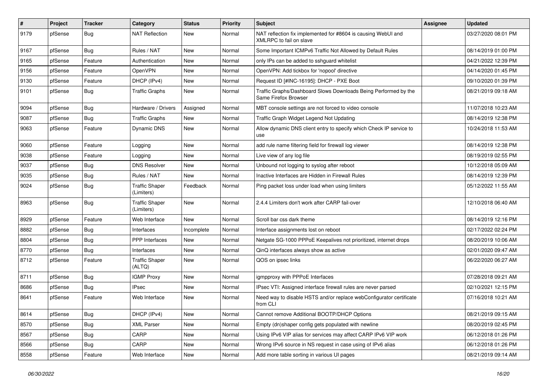| $\vert$ # | Project | <b>Tracker</b> | Category                            | <b>Status</b> | <b>Priority</b> | Subject                                                                                  | <b>Assignee</b> | <b>Updated</b>      |
|-----------|---------|----------------|-------------------------------------|---------------|-----------------|------------------------------------------------------------------------------------------|-----------------|---------------------|
| 9179      | pfSense | <b>Bug</b>     | <b>NAT Reflection</b>               | New           | Normal          | NAT reflection fix implemented for #8604 is causing WebUI and<br>XMLRPC to fail on slave |                 | 03/27/2020 08:01 PM |
| 9167      | pfSense | Bug            | Rules / NAT                         | New           | Normal          | Some Important ICMPv6 Traffic Not Allowed by Default Rules                               |                 | 08/14/2019 01:00 PM |
| 9165      | pfSense | Feature        | Authentication                      | New           | Normal          | only IPs can be added to sshguard whitelist                                              |                 | 04/21/2022 12:39 PM |
| 9156      | pfSense | Feature        | OpenVPN                             | New           | Normal          | OpenVPN: Add tickbox for 'nopool' directive                                              |                 | 04/14/2020 01:45 PM |
| 9130      | pfSense | Feature        | DHCP (IPv4)                         | New           | Normal          | Request ID [#INC-16195]: DHCP - PXE Boot                                                 |                 | 09/10/2020 01:39 PM |
| 9101      | pfSense | Bug            | <b>Traffic Graphs</b>               | New           | Normal          | Traffic Graphs/Dashboard Slows Downloads Being Performed by the<br>Same Firefox Browser  |                 | 08/21/2019 09:18 AM |
| 9094      | pfSense | Bug            | Hardware / Drivers                  | Assigned      | Normal          | MBT console settings are not forced to video console                                     |                 | 11/07/2018 10:23 AM |
| 9087      | pfSense | Bug            | <b>Traffic Graphs</b>               | <b>New</b>    | Normal          | Traffic Graph Widget Legend Not Updating                                                 |                 | 08/14/2019 12:38 PM |
| 9063      | pfSense | Feature        | Dynamic DNS                         | New           | Normal          | Allow dynamic DNS client entry to specify which Check IP service to<br>use               |                 | 10/24/2018 11:53 AM |
| 9060      | pfSense | Feature        | Logging                             | New           | Normal          | add rule name filtering field for firewall log viewer                                    |                 | 08/14/2019 12:38 PM |
| 9038      | pfSense | Feature        | Logging                             | New           | Normal          | Live view of any log file                                                                |                 | 08/19/2019 02:55 PM |
| 9037      | pfSense | Bug            | <b>DNS Resolver</b>                 | New           | Normal          | Unbound not logging to syslog after reboot                                               |                 | 10/12/2018 05:09 AM |
| 9035      | pfSense | Bug            | Rules / NAT                         | <b>New</b>    | Normal          | Inactive Interfaces are Hidden in Firewall Rules                                         |                 | 08/14/2019 12:39 PM |
| 9024      | pfSense | Bug            | <b>Traffic Shaper</b><br>(Limiters) | Feedback      | Normal          | Ping packet loss under load when using limiters                                          |                 | 05/12/2022 11:55 AM |
| 8963      | pfSense | Bug            | <b>Traffic Shaper</b><br>(Limiters) | New           | Normal          | 2.4.4 Limiters don't work after CARP fail-over                                           |                 | 12/10/2018 06:40 AM |
| 8929      | pfSense | Feature        | Web Interface                       | New           | Normal          | Scroll bar css dark theme                                                                |                 | 08/14/2019 12:16 PM |
| 8882      | pfSense | Bug            | Interfaces                          | Incomplete    | Normal          | Interface assignments lost on reboot                                                     |                 | 02/17/2022 02:24 PM |
| 8804      | pfSense | Bug            | <b>PPP</b> Interfaces               | New           | Normal          | Netgate SG-1000 PPPoE Keepalives not prioritized, internet drops                         |                 | 08/20/2019 10:06 AM |
| 8770      | pfSense | <b>Bug</b>     | Interfaces                          | New           | Normal          | QinQ interfaces always show as active                                                    |                 | 02/01/2020 09:47 AM |
| 8712      | pfSense | Feature        | <b>Traffic Shaper</b><br>(ALTQ)     | New           | Normal          | QOS on ipsec links                                                                       |                 | 06/22/2020 06:27 AM |
| 8711      | pfSense | Bug            | <b>IGMP Proxy</b>                   | New           | Normal          | igmpproxy with PPPoE Interfaces                                                          |                 | 07/28/2018 09:21 AM |
| 8686      | pfSense | Bug            | <b>IPsec</b>                        | New           | Normal          | IPsec VTI: Assigned interface firewall rules are never parsed                            |                 | 02/10/2021 12:15 PM |
| 8641      | pfSense | Feature        | Web Interface                       | New           | Normal          | Need way to disable HSTS and/or replace webConfigurator certificate<br>from CLI          |                 | 07/16/2018 10:21 AM |
| 8614      | pfSense | <b>Bug</b>     | DHCP (IPv4)                         | New           | Normal          | Cannot remove Additional BOOTP/DHCP Options                                              |                 | 08/21/2019 09:15 AM |
| 8570      | pfSense | Bug            | <b>XML Parser</b>                   | New           | Normal          | Empty (dn)shaper config gets populated with newline                                      |                 | 08/20/2019 02:45 PM |
| 8567      | pfSense | <b>Bug</b>     | CARP                                | New           | Normal          | Using IPv6 VIP alias for services may affect CARP IPv6 VIP work                          |                 | 06/12/2018 01:26 PM |
| 8566      | pfSense | <b>Bug</b>     | CARP                                | New           | Normal          | Wrong IPv6 source in NS request in case using of IPv6 alias                              |                 | 06/12/2018 01:26 PM |
| 8558      | pfSense | Feature        | Web Interface                       | New           | Normal          | Add more table sorting in various UI pages                                               |                 | 08/21/2019 09:14 AM |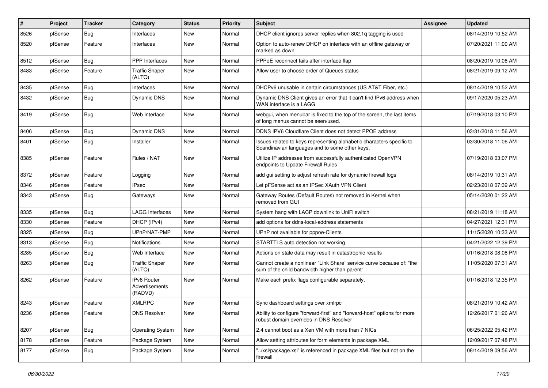| $\#$ | Project | <b>Tracker</b> | Category                                        | <b>Status</b> | <b>Priority</b> | <b>Subject</b>                                                                                                          | <b>Assignee</b> | <b>Updated</b>      |
|------|---------|----------------|-------------------------------------------------|---------------|-----------------|-------------------------------------------------------------------------------------------------------------------------|-----------------|---------------------|
| 8526 | pfSense | <b>Bug</b>     | Interfaces                                      | New           | Normal          | DHCP client ignores server replies when 802.1q tagging is used                                                          |                 | 08/14/2019 10:52 AM |
| 8520 | pfSense | Feature        | Interfaces                                      | <b>New</b>    | Normal          | Option to auto-renew DHCP on interface with an offline gateway or<br>marked as down                                     |                 | 07/20/2021 11:00 AM |
| 8512 | pfSense | <b>Bug</b>     | <b>PPP</b> Interfaces                           | <b>New</b>    | Normal          | PPPoE reconnect fails after interface flap                                                                              |                 | 08/20/2019 10:06 AM |
| 8483 | pfSense | Feature        | <b>Traffic Shaper</b><br>(ALTQ)                 | New           | Normal          | Allow user to choose order of Queues status                                                                             |                 | 08/21/2019 09:12 AM |
| 8435 | pfSense | <b>Bug</b>     | Interfaces                                      | New           | Normal          | DHCPv6 unusable in certain circumstances (US AT&T Fiber, etc.)                                                          |                 | 08/14/2019 10:52 AM |
| 8432 | pfSense | <b>Bug</b>     | Dynamic DNS                                     | <b>New</b>    | Normal          | Dynamic DNS Client gives an error that it can't find IPv6 address when<br>WAN interface is a LAGG                       |                 | 09/17/2020 05:23 AM |
| 8419 | pfSense | Bug            | Web Interface                                   | New           | Normal          | webgui, when menubar is fixed to the top of the screen, the last items<br>of long menus cannot be seen/used.            |                 | 07/19/2018 03:10 PM |
| 8406 | pfSense | Bug            | Dynamic DNS                                     | New           | Normal          | DDNS IPV6 Cloudflare Client does not detect PPOE address                                                                |                 | 03/31/2018 11:56 AM |
| 8401 | pfSense | <b>Bug</b>     | Installer                                       | New           | Normal          | Issues related to keys representing alphabetic characters specific to<br>Scandinavian languages and to some other keys. |                 | 03/30/2018 11:06 AM |
| 8385 | pfSense | Feature        | Rules / NAT                                     | New           | Normal          | Utilize IP addresses from successfully authenticated OpenVPN<br>endpoints to Update Firewall Rules                      |                 | 07/19/2018 03:07 PM |
| 8372 | pfSense | Feature        | Logging                                         | New           | Normal          | add gui setting to adjust refresh rate for dynamic firewall logs                                                        |                 | 08/14/2019 10:31 AM |
| 8346 | pfSense | Feature        | <b>IPsec</b>                                    | New           | Normal          | Let pFSense act as an IPSec XAuth VPN Client                                                                            |                 | 02/23/2018 07:39 AM |
| 8343 | pfSense | Bug            | Gateways                                        | New           | Normal          | Gateway Routes (Default Routes) not removed in Kernel when<br>removed from GUI                                          |                 | 05/14/2020 01:22 AM |
| 8335 | pfSense | Bug            | <b>LAGG Interfaces</b>                          | <b>New</b>    | Normal          | System hang with LACP downlink to UniFi switch                                                                          |                 | 08/21/2019 11:18 AM |
| 8330 | pfSense | Feature        | DHCP (IPv4)                                     | New           | Normal          | add options for ddns-local-address statements                                                                           |                 | 04/27/2021 12:31 PM |
| 8325 | pfSense | Bug            | UPnP/NAT-PMP                                    | New           | Normal          | UPnP not available for pppoe-Clients                                                                                    |                 | 11/15/2020 10:33 AM |
| 8313 | pfSense | Bug            | <b>Notifications</b>                            | <b>New</b>    | Normal          | STARTTLS auto detection not working                                                                                     |                 | 04/21/2022 12:39 PM |
| 8285 | pfSense | <b>Bug</b>     | Web Interface                                   | New           | Normal          | Actions on stale data may result in catastrophic results                                                                |                 | 01/16/2018 08:08 PM |
| 8263 | pfSense | Bug            | <b>Traffic Shaper</b><br>(ALTQ)                 | New           | Normal          | Cannot create a nonlinear `Link Share` service curve because of: "the<br>sum of the child bandwidth higher than parent" |                 | 11/05/2020 07:31 AM |
| 8262 | pfSense | Feature        | <b>IPv6 Router</b><br>Advertisements<br>(RADVD) | New           | Normal          | Make each prefix flags configurable separately.                                                                         |                 | 01/16/2018 12:35 PM |
| 8243 | pfSense | Feature        | <b>XMLRPC</b>                                   | <b>New</b>    | Normal          | Sync dashboard settings over xmlrpc                                                                                     |                 | 08/21/2019 10:42 AM |
| 8236 | pfSense | Feature        | <b>DNS Resolver</b>                             | New           | Normal          | Ability to configure "forward-first" and "forward-host" options for more<br>robust domain overrides in DNS Resolver     |                 | 12/26/2017 01:26 AM |
| 8207 | pfSense | <b>Bug</b>     | <b>Operating System</b>                         | New           | Normal          | 2.4 cannot boot as a Xen VM with more than 7 NICs                                                                       |                 | 06/25/2022 05:42 PM |
| 8178 | pfSense | Feature        | Package System                                  | New           | Normal          | Allow setting attributes for form elements in package XML                                                               |                 | 12/09/2017 07:48 PM |
| 8177 | pfSense | Bug            | Package System                                  | New           | Normal          | "/xsl/package.xsl" is referenced in package XML files but not on the<br>firewall                                        |                 | 08/14/2019 09:56 AM |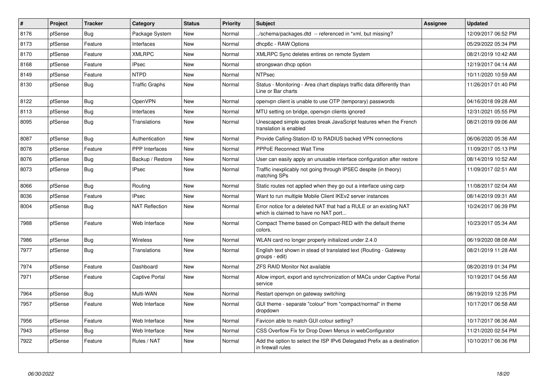| #    | <b>Project</b> | <b>Tracker</b> | Category              | <b>Status</b> | Priority | <b>Subject</b>                                                                                            | Assignee | <b>Updated</b>      |
|------|----------------|----------------|-----------------------|---------------|----------|-----------------------------------------------------------------------------------------------------------|----------|---------------------|
| 8176 | pfSense        | Bug            | Package System        | <b>New</b>    | Normal   | ./schema/packages.dtd -- referenced in *xml, but missing?                                                 |          | 12/09/2017 06:52 PM |
| 8173 | pfSense        | Feature        | Interfaces            | <b>New</b>    | Normal   | dhcp6c - RAW Options                                                                                      |          | 05/29/2022 05:34 PM |
| 8170 | pfSense        | Feature        | <b>XMLRPC</b>         | <b>New</b>    | Normal   | XMLRPC Sync deletes entires on remote System                                                              |          | 08/21/2019 10:42 AM |
| 8168 | pfSense        | Feature        | <b>IPsec</b>          | New           | Normal   | strongswan dhcp option                                                                                    |          | 12/19/2017 04:14 AM |
| 8149 | pfSense        | Feature        | <b>NTPD</b>           | <b>New</b>    | Normal   | <b>NTPsec</b>                                                                                             |          | 10/11/2020 10:59 AM |
| 8130 | pfSense        | Bug            | <b>Traffic Graphs</b> | New           | Normal   | Status - Monitoring - Area chart displays traffic data differently than<br>Line or Bar charts             |          | 11/26/2017 01:40 PM |
| 8122 | pfSense        | <b>Bug</b>     | OpenVPN               | <b>New</b>    | Normal   | openvpn client is unable to use OTP (temporary) passwords                                                 |          | 04/16/2018 09:28 AM |
| 8113 | pfSense        | Bug            | Interfaces            | New           | Normal   | MTU setting on bridge, openvpn clients ignored                                                            |          | 12/31/2021 05:55 PM |
| 8095 | pfSense        | <b>Bug</b>     | Translations          | <b>New</b>    | Normal   | Unescaped simple quotes break JavaScript features when the French<br>translation is enabled               |          | 08/21/2019 09:06 AM |
| 8087 | pfSense        | <b>Bug</b>     | Authentication        | <b>New</b>    | Normal   | Provide Calling-Station-ID to RADIUS backed VPN connections                                               |          | 06/06/2020 05:36 AM |
| 8078 | pfSense        | Feature        | PPP Interfaces        | New           | Normal   | <b>PPPoE Reconnect Wait Time</b>                                                                          |          | 11/09/2017 05:13 PM |
| 8076 | pfSense        | <b>Bug</b>     | Backup / Restore      | <b>New</b>    | Normal   | User can easily apply an unusable interface configuration after restore                                   |          | 08/14/2019 10:52 AM |
| 8073 | pfSense        | <b>Bug</b>     | <b>IPsec</b>          | <b>New</b>    | Normal   | Traffic inexplicably not going through IPSEC despite (in theory)<br>matching SPs                          |          | 11/09/2017 02:51 AM |
| 8066 | pfSense        | <b>Bug</b>     | Routing               | <b>New</b>    | Normal   | Static routes not applied when they go out a interface using carp                                         |          | 11/08/2017 02:04 AM |
| 8036 | pfSense        | Feature        | <b>IPsec</b>          | <b>New</b>    | Normal   | Want to run multiple Mobile Client IKEv2 server instances                                                 |          | 08/14/2019 09:31 AM |
| 8004 | pfSense        | <b>Bug</b>     | <b>NAT Reflection</b> | <b>New</b>    | Normal   | Error notice for a deleted NAT that had a RULE or an existing NAT<br>which is claimed to have no NAT port |          | 10/24/2017 06:39 PM |
| 7988 | pfSense        | Feature        | Web Interface         | <b>New</b>    | Normal   | Compact Theme based on Compact-RED with the default theme<br>colors.                                      |          | 10/23/2017 05:34 AM |
| 7986 | pfSense        | Bug            | <b>Wireless</b>       | <b>New</b>    | Normal   | WLAN card no longer properly initialized under 2.4.0                                                      |          | 06/19/2020 08:08 AM |
| 7977 | pfSense        | <b>Bug</b>     | Translations          | <b>New</b>    | Normal   | English text shown in stead of translated text (Routing - Gateway<br>groups - edit)                       |          | 08/21/2019 11:28 AM |
| 7974 | pfSense        | Feature        | Dashboard             | <b>New</b>    | Normal   | <b>ZFS RAID Monitor Not available</b>                                                                     |          | 08/20/2019 01:34 PM |
| 7971 | pfSense        | Feature        | <b>Captive Portal</b> | New           | Normal   | Allow import, export and synchronization of MACs under Captive Portal<br>service                          |          | 10/19/2017 04:56 AM |
| 7964 | pfSense        | Bug            | Multi-WAN             | <b>New</b>    | Normal   | Restart openvpn on gateway switching                                                                      |          | 08/19/2019 12:35 PM |
| 7957 | pfSense        | Feature        | Web Interface         | <b>New</b>    | Normal   | GUI theme - separate "colour" from "compact/normal" in theme<br>dropdown                                  |          | 10/17/2017 06:58 AM |
| 7956 | pfSense        | Feature        | Web Interface         | <b>New</b>    | Normal   | Favicon able to match GUI colour setting?                                                                 |          | 10/17/2017 06:36 AM |
| 7943 | pfSense        | <b>Bug</b>     | Web Interface         | <b>New</b>    | Normal   | CSS Overflow Fix for Drop Down Menus in webConfigurator                                                   |          | 11/21/2020 02:54 PM |
| 7922 | pfSense        | Feature        | Rules / NAT           | <b>New</b>    | Normal   | Add the option to select the ISP IPv6 Delegated Prefix as a destination<br>in firewall rules              |          | 10/10/2017 06:36 PM |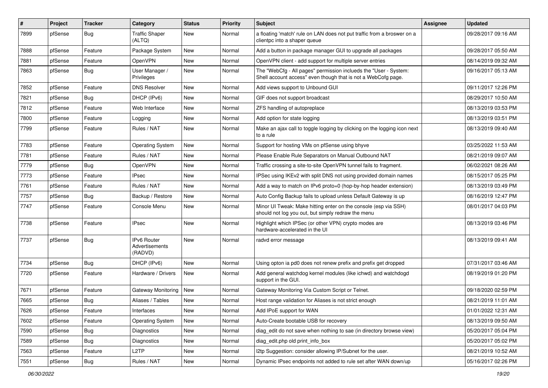| #    | Project | <b>Tracker</b> | Category                                 | <b>Status</b> | <b>Priority</b> | Subject                                                                                                                           | Assignee | <b>Updated</b>      |
|------|---------|----------------|------------------------------------------|---------------|-----------------|-----------------------------------------------------------------------------------------------------------------------------------|----------|---------------------|
| 7899 | pfSense | <b>Bug</b>     | Traffic Shaper<br>(ALTQ)                 | New           | Normal          | a floating 'match' rule on LAN does not put traffic from a broswer on a<br>clientpc into a shaper queue                           |          | 09/28/2017 09:16 AM |
| 7888 | pfSense | Feature        | Package System                           | New           | Normal          | Add a button in package manager GUI to upgrade all packages                                                                       |          | 09/28/2017 05:50 AM |
| 7881 | pfSense | Feature        | OpenVPN                                  | New           | Normal          | OpenVPN client - add support for multiple server entries                                                                          |          | 08/14/2019 09:32 AM |
| 7863 | pfSense | <b>Bug</b>     | User Manager /<br>Privileges             | New           | Normal          | The "WebCfg - All pages" permission inclueds the "User - System:<br>Shell account access" even though that is not a WebCofg page. |          | 09/16/2017 05:13 AM |
| 7852 | pfSense | Feature        | <b>DNS Resolver</b>                      | New           | Normal          | Add views support to Unbound GUI                                                                                                  |          | 09/11/2017 12:26 PM |
| 7821 | pfSense | <b>Bug</b>     | DHCP (IPv6)                              | New           | Normal          | GIF does not support broadcast                                                                                                    |          | 08/29/2017 10:50 AM |
| 7812 | pfSense | Feature        | Web Interface                            | New           | Normal          | ZFS handling of autopreplace                                                                                                      |          | 08/13/2019 03:53 PM |
| 7800 | pfSense | Feature        | Logging                                  | New           | Normal          | Add option for state logging                                                                                                      |          | 08/13/2019 03:51 PM |
| 7799 | pfSense | Feature        | Rules / NAT                              | New           | Normal          | Make an ajax call to toggle logging by clicking on the logging icon next<br>to a rule                                             |          | 08/13/2019 09:40 AM |
| 7783 | pfSense | Feature        | <b>Operating System</b>                  | New           | Normal          | Support for hosting VMs on pfSense using bhyve                                                                                    |          | 03/25/2022 11:53 AM |
| 7781 | pfSense | Feature        | Rules / NAT                              | New           | Normal          | Please Enable Rule Separators on Manual Outbound NAT                                                                              |          | 08/21/2019 09:07 AM |
| 7779 | pfSense | <b>Bug</b>     | OpenVPN                                  | New           | Normal          | Traffic crossing a site-to-site OpenVPN tunnel fails to fragment.                                                                 |          | 06/02/2021 08:26 AM |
| 7773 | pfSense | Feature        | <b>IPsec</b>                             | New           | Normal          | IPSec using IKEv2 with split DNS not using provided domain names                                                                  |          | 08/15/2017 05:25 PM |
| 7761 | pfSense | Feature        | Rules / NAT                              | New           | Normal          | Add a way to match on IPv6 proto=0 (hop-by-hop header extension)                                                                  |          | 08/13/2019 03:49 PM |
| 7757 | pfSense | <b>Bug</b>     | Backup / Restore                         | New           | Normal          | Auto Config Backup fails to upload unless Default Gateway is up                                                                   |          | 08/16/2019 12:47 PM |
| 7747 | pfSense | Feature        | Console Menu                             | New           | Normal          | Minor UI Tweak: Make hitting enter on the console (esp via SSH)<br>should not log you out, but simply redraw the menu             |          | 08/01/2017 04:03 PM |
| 7738 | pfSense | Feature        | <b>IPsec</b>                             | New           | Normal          | Highlight which IPSec (or other VPN) crypto modes are<br>hardware-accelerated in the UI                                           |          | 08/13/2019 03:46 PM |
| 7737 | pfSense | <b>Bug</b>     | IPv6 Router<br>Advertisements<br>(RADVD) | New           | Normal          | radvd error message                                                                                                               |          | 08/13/2019 09:41 AM |
| 7734 | pfSense | <b>Bug</b>     | DHCP (IPv6)                              | New           | Normal          | Using opton ia pd0 does not renew prefix and prefix get dropped                                                                   |          | 07/31/2017 03:46 AM |
| 7720 | pfSense | Feature        | Hardware / Drivers                       | New           | Normal          | Add general watchdog kernel modules (like ichwd) and watchdogd<br>support in the GUI.                                             |          | 08/19/2019 01:20 PM |
| 7671 | pfSense | Feature        | Gateway Monitoring                       | New           | Normal          | Gateway Monitoring Via Custom Script or Telnet.                                                                                   |          | 09/18/2020 02:59 PM |
| 7665 | pfSense | <b>Bug</b>     | Aliases / Tables                         | New           | Normal          | Host range validation for Aliases is not strict enough                                                                            |          | 08/21/2019 11:01 AM |
| 7626 | pfSense | Feature        | Interfaces                               | New           | Normal          | Add IPoE support for WAN                                                                                                          |          | 01/01/2022 12:31 AM |
| 7602 | pfSense | Feature        | <b>Operating System</b>                  | New           | Normal          | Auto-Create bootable USB for recovery                                                                                             |          | 08/13/2019 09:50 AM |
| 7590 | pfSense | <b>Bug</b>     | Diagnostics                              | New           | Normal          | diag edit do not save when nothing to sae (in directory browse view)                                                              |          | 05/20/2017 05:04 PM |
| 7589 | pfSense | <b>Bug</b>     | Diagnostics                              | New           | Normal          | diag edit.php old print info box                                                                                                  |          | 05/20/2017 05:02 PM |
| 7563 | pfSense | Feature        | L <sub>2</sub> TP                        | New           | Normal          | I2tp Suggestion: consider allowing IP/Subnet for the user.                                                                        |          | 08/21/2019 10:52 AM |
| 7551 | pfSense | Bug            | Rules / NAT                              | New           | Normal          | Dynamic IPsec endpoints not added to rule set after WAN down/up                                                                   |          | 05/16/2017 02:26 PM |